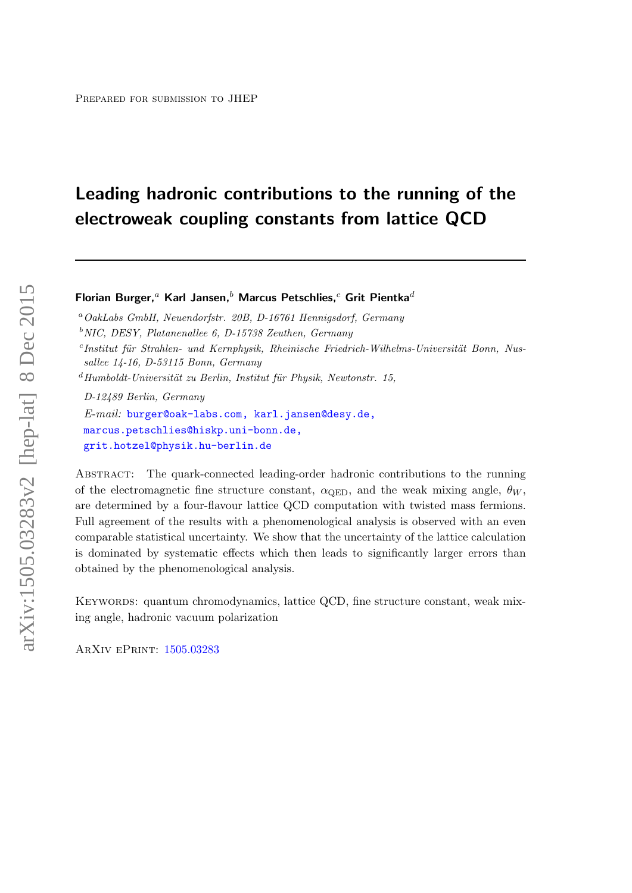# Leading hadronic contributions to the running of the electroweak coupling constants from lattice QCD

### Florian Burger,<sup>a</sup> Karl Jansen,<sup>b</sup> Marcus Petschlies,<sup>c</sup> Grit Pientka<sup>d</sup>

<sup>a</sup>OakLabs GmbH, Neuendorfstr. 20B, D-16761 Hennigsdorf, Germany

 $c$ Institut für Strahlen- und Kernphysik, Rheinische Friedrich-Wilhelms-Universität Bonn, Nussallee 14-16, D-53115 Bonn, Germany

D-12489 Berlin, Germany

E-mail: [burger@oak-labs.com, karl.jansen@desy.de,](mailto:burger@oak-labs.com, karl.jansen@desy.de, marcus.petschlies@hiskp.uni-bonn.de, grit.hotzel@physik.hu-berlin.de) [marcus.petschlies@hiskp.uni-bonn.de,](mailto:burger@oak-labs.com, karl.jansen@desy.de, marcus.petschlies@hiskp.uni-bonn.de, grit.hotzel@physik.hu-berlin.de) [grit.hotzel@physik.hu-berlin.de](mailto:burger@oak-labs.com, karl.jansen@desy.de, marcus.petschlies@hiskp.uni-bonn.de, grit.hotzel@physik.hu-berlin.de)

Abstract: The quark-connected leading-order hadronic contributions to the running of the electromagnetic fine structure constant,  $\alpha_{\text{OED}}$ , and the weak mixing angle,  $\theta_W$ , are determined by a four-flavour lattice QCD computation with twisted mass fermions. Full agreement of the results with a phenomenological analysis is observed with an even comparable statistical uncertainty. We show that the uncertainty of the lattice calculation is dominated by systematic effects which then leads to significantly larger errors than obtained by the phenomenological analysis.

KEYWORDS: quantum chromodynamics, lattice QCD, fine structure constant, weak mixing angle, hadronic vacuum polarization

ArXiv ePrint: [1505.03283](http://arxiv.org/abs/1505.03283)

 $b$ NIC, DESY, Platanenallee 6, D-15738 Zeuthen, Germany

 $d$ Humboldt-Universität zu Berlin, Institut für Physik, Newtonstr. 15,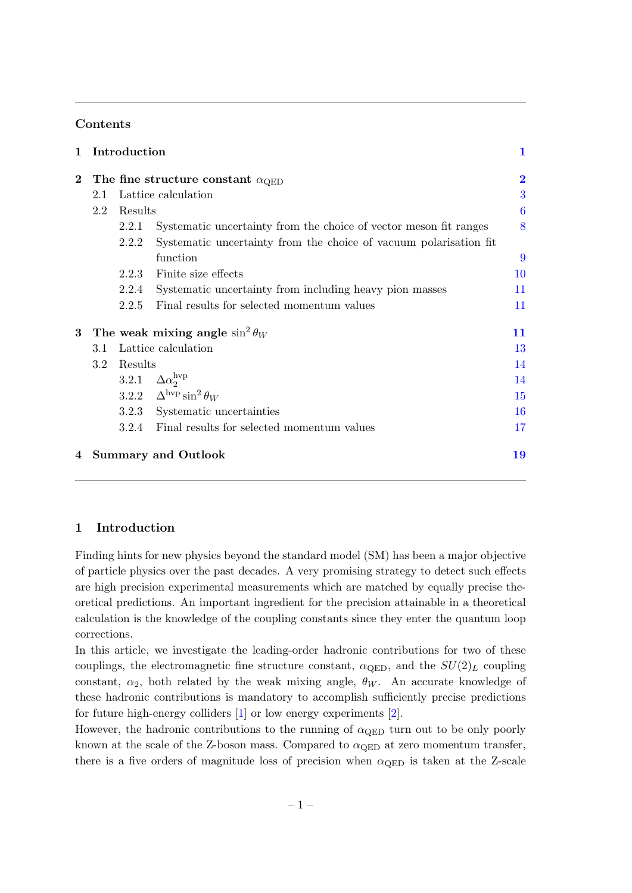### Contents

| 1        |     | Introduction |                                                                   | 1                       |  |
|----------|-----|--------------|-------------------------------------------------------------------|-------------------------|--|
| $\bf{2}$ |     |              | The fine structure constant $\alpha_{\text{QED}}$                 | $\overline{\mathbf{2}}$ |  |
|          | 2.1 |              | Lattice calculation                                               | 3                       |  |
|          | 2.2 | Results      |                                                                   | 6                       |  |
|          |     | 2.2.1        | Systematic uncertainty from the choice of vector meson fit ranges | 8                       |  |
|          |     | 2.2.2        | Systematic uncertainty from the choice of vacuum polarisation fit |                         |  |
|          |     |              | function                                                          | 9                       |  |
|          |     | 2.2.3        | Finite size effects                                               | 10                      |  |
|          |     | 2.2.4        | Systematic uncertainty from including heavy pion masses           | 11                      |  |
|          |     | 2.2.5        | Final results for selected momentum values                        | 11                      |  |
| 3        |     |              | The weak mixing angle $\sin^2 \theta_W$                           | 11                      |  |
|          | 3.1 |              | Lattice calculation                                               | 13                      |  |
|          | 3.2 | Results      |                                                                   |                         |  |
|          |     | 3.2.1        | $\Delta \alpha_2^{\rm hvp}$                                       | 14                      |  |
|          |     | 3.2.2        | $\Delta^{\rm hvp}\sin^2\theta_W$                                  | 15                      |  |
|          |     | 3.2.3        | Systematic uncertainties                                          | 16                      |  |
|          |     | 3.2.4        | Final results for selected momentum values                        | 17                      |  |
| 4        |     |              | <b>Summary and Outlook</b>                                        | 19                      |  |

### <span id="page-1-0"></span>1 Introduction

Finding hints for new physics beyond the standard model (SM) has been a major objective of particle physics over the past decades. A very promising strategy to detect such effects are high precision experimental measurements which are matched by equally precise theoretical predictions. An important ingredient for the precision attainable in a theoretical calculation is the knowledge of the coupling constants since they enter the quantum loop corrections.

In this article, we investigate the leading-order hadronic contributions for two of these couplings, the electromagnetic fine structure constant,  $\alpha_{\text{QED}}$ , and the  $SU(2)_L$  coupling constant,  $\alpha_2$ , both related by the weak mixing angle,  $\theta_W$ . An accurate knowledge of these hadronic contributions is mandatory to accomplish sufficiently precise predictions for future high-energy colliders [\[1\]](#page-20-0) or low energy experiments [\[2\]](#page-20-1).

However, the hadronic contributions to the running of  $\alpha$ <sub>QED</sub> turn out to be only poorly known at the scale of the Z-boson mass. Compared to  $\alpha$ <sub>QED</sub> at zero momentum transfer, there is a five orders of magnitude loss of precision when  $\alpha_{\rm QED}$  is taken at the Z-scale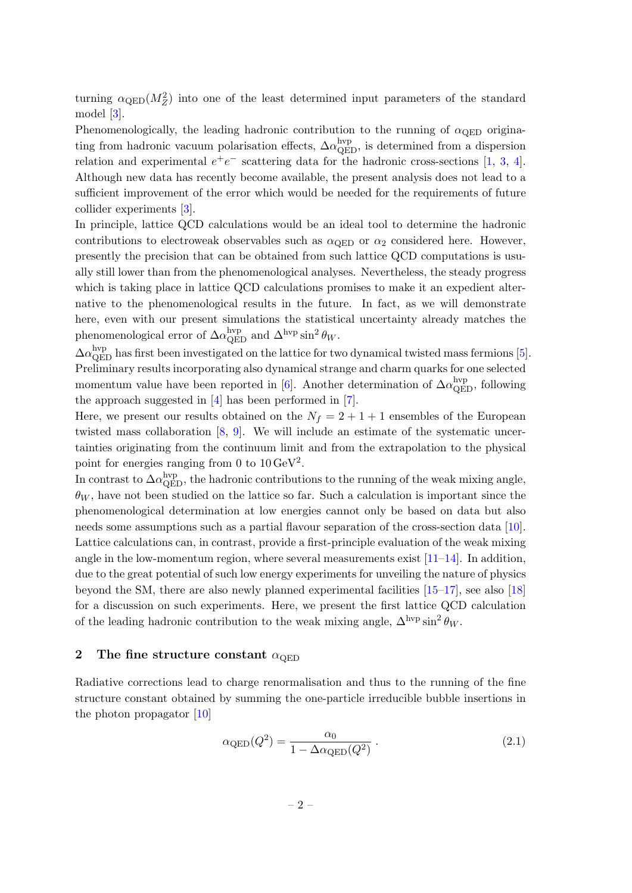turning  $\alpha_{\rm QED}(M_Z^2)$  into one of the least determined input parameters of the standard model [\[3\]](#page-20-2).

Phenomenologically, the leading hadronic contribution to the running of  $\alpha_{\text{QED}}$  originating from hadronic vacuum polarisation effects,  $\Delta \alpha_{\rm QED}^{\rm hvp}$ , is determined from a dispersion relation and experimental  $e^+e^-$  scattering data for the hadronic cross-sections [\[1,](#page-20-0) [3,](#page-20-2) [4\]](#page-20-3). Although new data has recently become available, the present analysis does not lead to a sufficient improvement of the error which would be needed for the requirements of future collider experiments [\[3\]](#page-20-2).

In principle, lattice QCD calculations would be an ideal tool to determine the hadronic contributions to electroweak observables such as  $\alpha_{\text{QED}}$  or  $\alpha_2$  considered here. However, presently the precision that can be obtained from such lattice QCD computations is usually still lower than from the phenomenological analyses. Nevertheless, the steady progress which is taking place in lattice QCD calculations promises to make it an expedient alternative to the phenomenological results in the future. In fact, as we will demonstrate here, even with our present simulations the statistical uncertainty already matches the phenomenological error of  $\Delta \alpha_{\rm QED}^{\rm hvp}$  and  $\Delta^{\rm hvp} \sin^2 \theta_W$ .

 $\Delta\alpha_{\rm QED}^{\rm hvp}$  has first been investigated on the lattice for two dynamical twisted mass fermions [\[5\]](#page-20-4). Preliminary results incorporating also dynamical strange and charm quarks for one selected momentum value have been reported in [\[6\]](#page-20-5). Another determination of  $\Delta \alpha_{\rm QED}^{\rm hvp}$ , following the approach suggested in [\[4\]](#page-20-3) has been performed in [\[7\]](#page-20-6).

Here, we present our results obtained on the  $N_f = 2 + 1 + 1$  ensembles of the European twisted mass collaboration [\[8,](#page-20-7) [9\]](#page-20-8). We will include an estimate of the systematic uncertainties originating from the continuum limit and from the extrapolation to the physical point for energies ranging from 0 to  $10 \,\text{GeV}^2$ .

In contrast to  $\Delta \alpha_{\rm QED}^{\rm hyp}$ , the hadronic contributions to the running of the weak mixing angle,  $\theta_W$ , have not been studied on the lattice so far. Such a calculation is important since the phenomenological determination at low energies cannot only be based on data but also needs some assumptions such as a partial flavour separation of the cross-section data [\[10\]](#page-20-9). Lattice calculations can, in contrast, provide a first-principle evaluation of the weak mixing angle in the low-momentum region, where several measurements exist  $[11-14]$  $[11-14]$ . In addition, due to the great potential of such low energy experiments for unveiling the nature of physics beyond the SM, there are also newly planned experimental facilities [\[15–](#page-20-12)[17\]](#page-20-13), see also [\[18\]](#page-20-14) for a discussion on such experiments. Here, we present the first lattice QCD calculation of the leading hadronic contribution to the weak mixing angle,  $\Delta^{\text{hyp}} \sin^2 \theta_W$ .

### <span id="page-2-0"></span>2 The fine structure constant  $\alpha_{\text{QED}}$

Radiative corrections lead to charge renormalisation and thus to the running of the fine structure constant obtained by summing the one-particle irreducible bubble insertions in the photon propagator [\[10\]](#page-20-9)

$$
\alpha_{\rm QED}(Q^2) = \frac{\alpha_0}{1 - \Delta \alpha_{\rm QED}(Q^2)}.
$$
\n(2.1)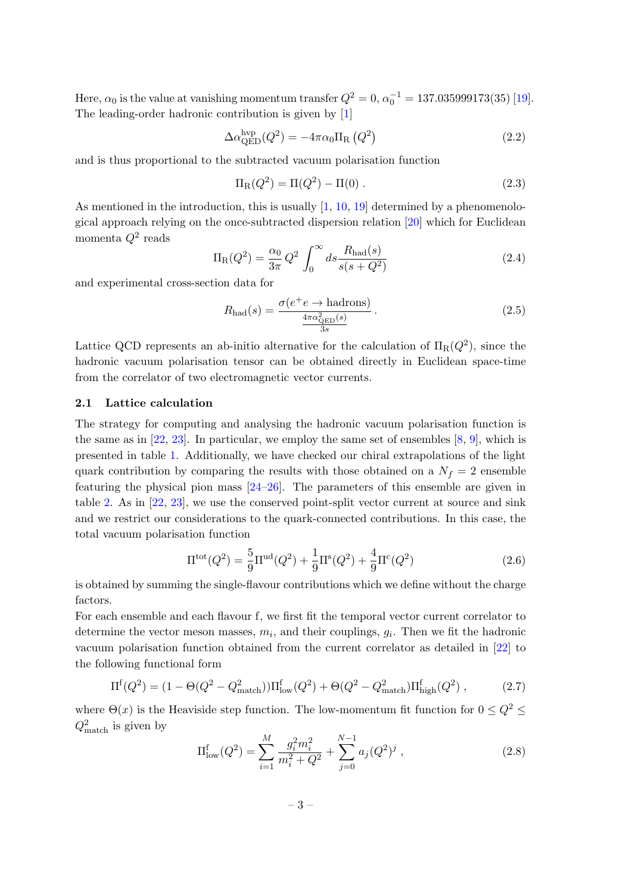Here,  $\alpha_0$  is the value at vanishing momentum transfer  $Q^2 = 0$ ,  $\alpha_0^{-1} = 137.035999173(35)$  [\[19\]](#page-21-0). The leading-order hadronic contribution is given by [\[1\]](#page-20-0)

<span id="page-3-4"></span>
$$
\Delta \alpha_{\rm QED}^{\rm hyp}(Q^2) = -4\pi \alpha_0 \Pi_{\rm R} (Q^2)
$$
\n(2.2)

and is thus proportional to the subtracted vacuum polarisation function

<span id="page-3-2"></span>
$$
\Pi_{\rm R}(Q^2) = \Pi(Q^2) - \Pi(0) \ . \tag{2.3}
$$

As mentioned in the introduction, this is usually  $[1, 10, 19]$  $[1, 10, 19]$  $[1, 10, 19]$  $[1, 10, 19]$  $[1, 10, 19]$  determined by a phenomenological approach relying on the once-subtracted dispersion relation [\[20\]](#page-21-1) which for Euclidean momenta  $Q^2$  reads

<span id="page-3-5"></span>
$$
\Pi_{\rm R}(Q^2) = \frac{\alpha_0}{3\pi} Q^2 \int_0^\infty ds \frac{R_{\rm had}(s)}{s(s+Q^2)}\tag{2.4}
$$

and experimental cross-section data for

$$
R_{\text{had}}(s) = \frac{\sigma(e^+e \to \text{hadrons})}{\frac{4\pi\alpha_{\text{QED}}^2(s)}{3s}}.
$$
\n(2.5)

Lattice QCD represents an ab-initio alternative for the calculation of  $\Pi_R(Q^2)$ , since the hadronic vacuum polarisation tensor can be obtained directly in Euclidean space-time from the correlator of two electromagnetic vector currents.

#### <span id="page-3-0"></span>2.1 Lattice calculation

The strategy for computing and analysing the hadronic vacuum polarisation function is the same as in  $[22, 23]$  $[22, 23]$  $[22, 23]$ . In particular, we employ the same set of ensembles  $[8, 9]$  $[8, 9]$  $[8, 9]$ , which is presented in table [1.](#page-4-0) Additionally, we have checked our chiral extrapolations of the light quark contribution by comparing the results with those obtained on a  $N_f = 2$  ensemble featuring the physical pion mass [\[24–](#page-21-4)[26\]](#page-21-5). The parameters of this ensemble are given in table [2.](#page-4-1) As in [\[22,](#page-21-2) [23\]](#page-21-3), we use the conserved point-split vector current at source and sink and we restrict our considerations to the quark-connected contributions. In this case, the total vacuum polarisation function

<span id="page-3-3"></span>
$$
\Pi^{\text{tot}}(Q^2) = \frac{5}{9}\Pi^{\text{ud}}(Q^2) + \frac{1}{9}\Pi^{\text{s}}(Q^2) + \frac{4}{9}\Pi^{\text{c}}(Q^2)
$$
\n(2.6)

is obtained by summing the single-flavour contributions which we define without the charge factors.

For each ensemble and each flavour f, we first fit the temporal vector current correlator to determine the vector meson masses,  $m_i$ , and their couplings,  $g_i$ . Then we fit the hadronic vacuum polarisation function obtained from the current correlator as detailed in [\[22\]](#page-21-2) to the following functional form

<span id="page-3-6"></span>
$$
\Pi^{\text{f}}(Q^2) = (1 - \Theta(Q^2 - Q_{\text{match}}^2))\Pi_{\text{low}}^{\text{f}}(Q^2) + \Theta(Q^2 - Q_{\text{match}}^2)\Pi_{\text{high}}^{\text{f}}(Q^2) ,\qquad (2.7)
$$

where  $\Theta(x)$  is the Heaviside step function. The low-momentum fit function for  $0 \leq Q^2 \leq$  $Q_{\text{match}}^2$  is given by

<span id="page-3-1"></span>
$$
\Pi_{\text{low}}^{\text{f}}(Q^2) = \sum_{i=1}^{M} \frac{g_i^2 m_i^2}{m_i^2 + Q^2} + \sum_{j=0}^{N-1} a_j (Q^2)^j , \qquad (2.8)
$$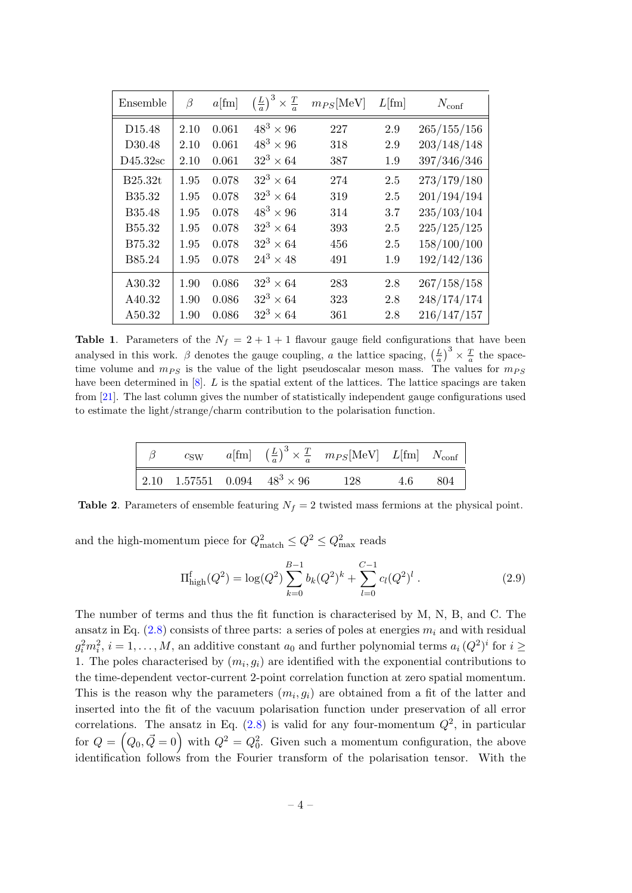| Ensemble           | β    | $a$ [fm] | $\left(\frac{L}{a}\right)^3 \times \frac{T}{a}$ | $m_{PS}$ [MeV] | $L[\text{fm}]$ | $N_{\rm conf}$ |
|--------------------|------|----------|-------------------------------------------------|----------------|----------------|----------------|
| D <sub>15.48</sub> | 2.10 | 0.061    | $48^3 \times 96$                                | 227            | 2.9            | 265/155/156    |
| D30.48             | 2.10 | 0.061    | $48^3 \times 96$                                | 318            | 2.9            | 203/148/148    |
| $D45.32$ sc        | 2.10 | 0.061    | $32^3 \times 64$                                | 387            | 1.9            | 397/346/346    |
| B25.32t            | 1.95 | 0.078    | $32^3 \times 64$                                | 274            | 2.5            | 273/179/180    |
| B35.32             | 1.95 | 0.078    | $32^3 \times 64$                                | 319            | 2.5            | 201/194/194    |
| B35.48             | 1.95 | 0.078    | $48^3 \times 96$                                | 314            | 3.7            | 235/103/104    |
| B <sub>55.32</sub> | 1.95 | 0.078    | $32^3 \times 64$                                | 393            | 2.5            | 225/125/125    |
| B75.32             | 1.95 | 0.078    | $32^3 \times 64$                                | 456            | 2.5            | 158/100/100    |
| B85.24             | 1.95 | 0.078    | $24^3 \times 48$                                | 491            | 1.9            | 192/142/136    |
| A30.32             | 1.90 | 0.086    | $32^3 \times 64$                                | 283            | 2.8            | 267/158/158    |
| A40.32             | 1.90 | 0.086    | $32^3 \times 64$                                | 323            | 2.8            | 248/174/174    |
| A50.32             | 1.90 | 0.086    | $32^3 \times 64$                                | 361            | 2.8            | 216/147/157    |

<span id="page-4-0"></span>**Table 1.** Parameters of the  $N_f = 2 + 1 + 1$  flavour gauge field configurations that have been analysed in this work.  $\beta$  denotes the gauge coupling, a the lattice spacing,  $\left(\frac{L}{a}\right)^3 \times \frac{T}{a}$  the spacetime volume and  $m_{PS}$  is the value of the light pseudoscalar meson mass. The values for  $m_{PS}$ have been determined in [\[8\]](#page-20-7). L is the spatial extent of the lattices. The lattice spacings are taken from [\[21\]](#page-21-6). The last column gives the number of statistically independent gauge configurations used to estimate the light/strange/charm contribution to the polarisation function.

|  |  | $\beta$ csw $a[\text{fm}]$ $(\frac{L}{a})^3 \times \frac{T}{a}$ $m_{PS}[\text{MeV}]$ $L[\text{fm}]$ $N_{\text{conf}}$ |  |
|--|--|-----------------------------------------------------------------------------------------------------------------------|--|
|  |  | $\begin{array}{cccc} \n2.10 & 1.57551 & 0.094 & 48^3 \times 96 & 128 & 4.6 & 804 \n\end{array}$                       |  |

<span id="page-4-1"></span>**Table 2.** Parameters of ensemble featuring  $N_f = 2$  twisted mass fermions at the physical point.

and the high-momentum piece for  $Q_{\text{match}}^2 \leq Q^2 \leq Q_{\text{max}}^2$  reads

<span id="page-4-2"></span>
$$
\Pi_{\text{high}}^{f}(Q^2) = \log(Q^2) \sum_{k=0}^{B-1} b_k (Q^2)^k + \sum_{l=0}^{C-1} c_l (Q^2)^l . \tag{2.9}
$$

The number of terms and thus the fit function is characterised by M, N, B, and C. The ansatz in Eq.  $(2.8)$  consists of three parts: a series of poles at energies  $m_i$  and with residual  $g_i^2 m_i^2$ ,  $i = 1, ..., M$ , an additive constant  $a_0$  and further polynomial terms  $a_i (Q^2)^i$  for  $i \geq$ 1. The poles characterised by  $(m_i, g_i)$  are identified with the exponential contributions to the time-dependent vector-current 2-point correlation function at zero spatial momentum. This is the reason why the parameters  $(m_i, g_i)$  are obtained from a fit of the latter and inserted into the fit of the vacuum polarisation function under preservation of all error correlations. The ansatz in Eq.  $(2.8)$  is valid for any four-momentum  $Q^2$ , in particular for  $Q = (Q_0, \vec{Q} = 0)$  with  $Q^2 = Q_0^2$ . Given such a momentum configuration, the above identification follows from the Fourier transform of the polarisation tensor. With the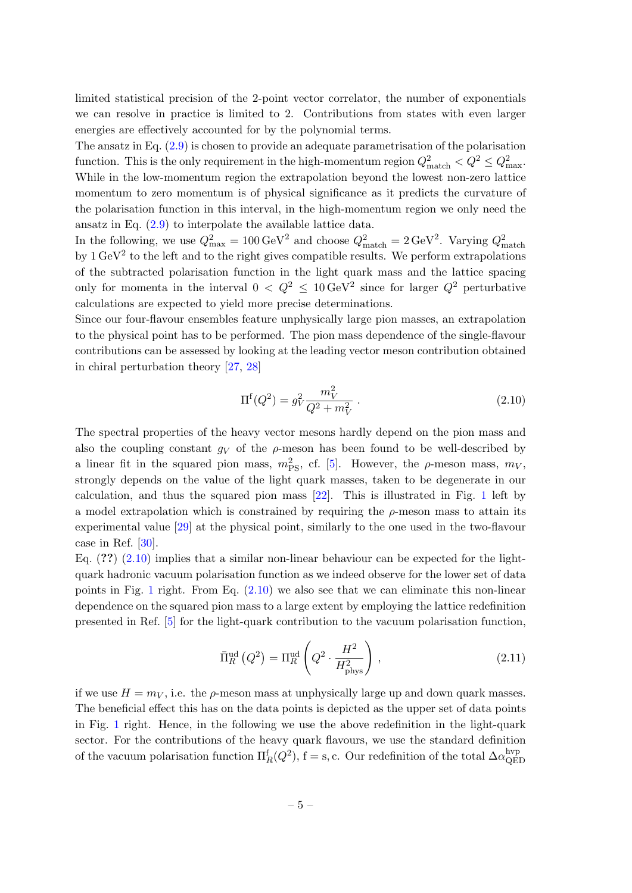limited statistical precision of the 2-point vector correlator, the number of exponentials we can resolve in practice is limited to 2. Contributions from states with even larger energies are effectively accounted for by the polynomial terms.

The ansatz in Eq. [\(2.9\)](#page-4-2) is chosen to provide an adequate parametrisation of the polarisation function. This is the only requirement in the high-momentum region  $Q_{\text{match}}^2 < Q^2 \leq Q_{\text{max}}^2$ . While in the low-momentum region the extrapolation beyond the lowest non-zero lattice momentum to zero momentum is of physical significance as it predicts the curvature of the polarisation function in this interval, in the high-momentum region we only need the ansatz in Eq. [\(2.9\)](#page-4-2) to interpolate the available lattice data.

In the following, we use  $Q_{\text{max}}^2 = 100 \,\text{GeV}^2$  and choose  $Q_{\text{match}}^2 = 2 \,\text{GeV}^2$ . Varying  $Q_{\text{match}}^2$ <br>by 1 GeV<sup>2</sup> to the left and to the right gives compatible results. We perform extrapolations of the subtracted polarisation function in the light quark mass and the lattice spacing only for momenta in the interval  $0 < Q^2 \leq 10 \,\text{GeV}^2$  since for larger  $Q^2$  perturbative calculations are expected to yield more precise determinations.

Since our four-flavour ensembles feature unphysically large pion masses, an extrapolation to the physical point has to be performed. The pion mass dependence of the single-flavour contributions can be assessed by looking at the leading vector meson contribution obtained in chiral perturbation theory [\[27,](#page-21-7) [28\]](#page-21-8)

<span id="page-5-0"></span>
$$
\Pi^{\text{f}}(Q^2) = g_V^2 \frac{m_V^2}{Q^2 + m_V^2} \,. \tag{2.10}
$$

The spectral properties of the heavy vector mesons hardly depend on the pion mass and also the coupling constant  $g_V$  of the  $\rho$ -meson has been found to be well-described by a linear fit in the squared pion mass,  $m_{\text{PS}}^2$ , cf. [\[5\]](#page-20-4). However, the  $\rho$ -meson mass,  $m_V$ , strongly depends on the value of the light quark masses, taken to be degenerate in our calculation, and thus the squared pion mass [\[22\]](#page-21-2). This is illustrated in Fig. [1](#page-6-1) left by a model extrapolation which is constrained by requiring the  $\rho$ -meson mass to attain its experimental value [\[29\]](#page-21-9) at the physical point, similarly to the one used in the two-flavour case in Ref.  $|30|$ .

Eq.  $(2.10)$  implies that a similar non-linear behaviour can be expected for the lightquark hadronic vacuum polarisation function as we indeed observe for the lower set of data points in Fig. [1](#page-6-1) right. From Eq.  $(2.10)$  we also see that we can eliminate this non-linear dependence on the squared pion mass to a large extent by employing the lattice redefinition presented in Ref. [\[5\]](#page-20-4) for the light-quark contribution to the vacuum polarisation function,

<span id="page-5-1"></span>
$$
\bar{\Pi}_R^{\text{ud}}\left(Q^2\right) = \Pi_R^{\text{ud}}\left(Q^2 \cdot \frac{H^2}{H_{\text{phys}}^2}\right),\tag{2.11}
$$

if we use  $H = m_V$ , i.e. the  $\rho$ -meson mass at unphysically large up and down quark masses. The beneficial effect this has on the data points is depicted as the upper set of data points in Fig. [1](#page-6-1) right. Hence, in the following we use the above redefinition in the light-quark sector. For the contributions of the heavy quark flavours, we use the standard definition of the vacuum polarisation function  $\Pi_R^f(Q^2)$ , f = s, c. Our redefinition of the total  $\Delta \alpha_{\rm QE}^{\rm hvp}$ QED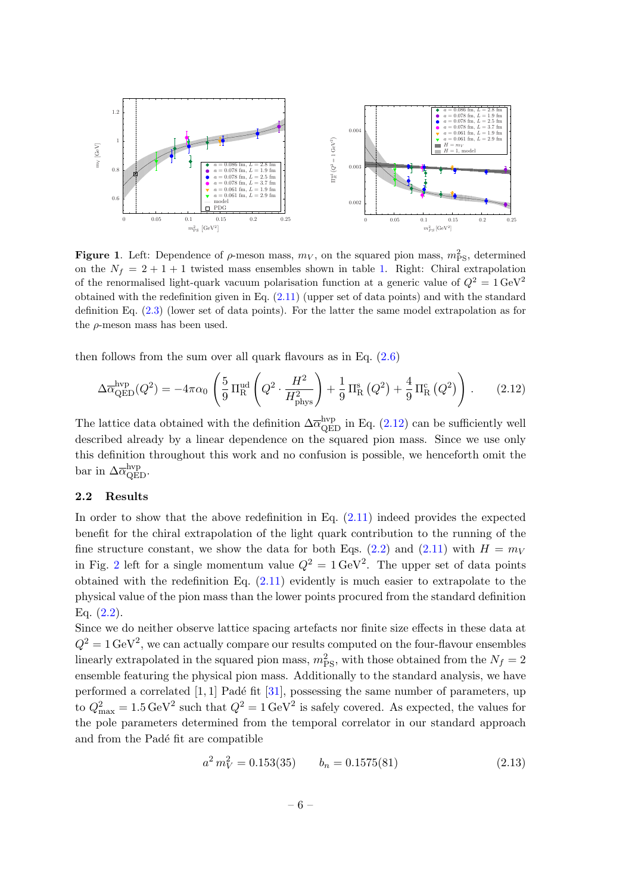

<span id="page-6-1"></span>**Figure 1.** Left: Dependence of  $\rho$ -meson mass,  $m_V$ , on the squared pion mass,  $m_{PS}^2$ , determined on the  $N_f = 2 + 1 + 1$  twisted mass ensembles shown in table [1.](#page-4-0) Right: Chiral extrapolation of the renormalised light-quark vacuum polarisation function at a generic value of  $Q^2 = 1 \text{ GeV}^2$ obtained with the redefinition given in Eq. [\(2.11\)](#page-5-1) (upper set of data points) and with the standard definition Eq. [\(2.3\)](#page-3-2) (lower set of data points). For the latter the same model extrapolation as for the  $\rho$ -meson mass has been used.

then follows from the sum over all quark flavours as in Eq.  $(2.6)$ 

<span id="page-6-2"></span>
$$
\Delta \overline{\alpha}_{\text{QED}}^{\text{hvp}}(Q^2) = -4\pi \alpha_0 \left( \frac{5}{9} \Pi_{\text{R}}^{\text{ud}} \left( Q^2 \cdot \frac{H^2}{H_{\text{phys}}^2} \right) + \frac{1}{9} \Pi_{\text{R}}^{\text{s}} (Q^2) + \frac{4}{9} \Pi_{\text{R}}^{\text{c}} (Q^2) \right). \tag{2.12}
$$

The lattice data obtained with the definition  $\Delta \overline{\alpha}_{\text{QED}}^{\text{hyp}}$  in Eq. [\(2.12\)](#page-6-2) can be sufficiently well described already by a linear dependence on the squared pion mass. Since we use only this definition throughout this work and no confusion is possible, we henceforth omit the bar in  $\Delta \overline{\alpha}_{\text{QED}}^{\text{hvp}}$ .

#### <span id="page-6-0"></span>2.2 Results

In order to show that the above redefinition in Eq.  $(2.11)$  indeed provides the expected benefit for the chiral extrapolation of the light quark contribution to the running of the fine structure constant, we show the data for both Eqs. [\(2.2\)](#page-3-4) and [\(2.11\)](#page-5-1) with  $H = m_V$ in Fig. [2](#page-7-0) left for a single momentum value  $Q^2 = 1 \text{ GeV}^2$ . The upper set of data points obtained with the redefinition Eq. [\(2.11\)](#page-5-1) evidently is much easier to extrapolate to the physical value of the pion mass than the lower points procured from the standard definition Eq.  $(2.2)$ .

Since we do neither observe lattice spacing artefacts nor finite size effects in these data at  $Q^2 = 1 \,\text{GeV}^2$ , we can actually compare our results computed on the four-flavour ensembles linearly extrapolated in the squared pion mass,  $m_{\rm PS}^2$ , with those obtained from the  $N_f = 2$ ensemble featuring the physical pion mass. Additionally to the standard analysis, we have performed a correlated  $[1, 1]$  Padé fit  $[31]$ , possessing the same number of parameters, up to  $Q_{\text{max}}^2 = 1.5 \,\text{GeV}^2$  such that  $Q^2 = 1 \,\text{GeV}^2$  is safely covered. As expected, the values for the pole parameters determined from the temporal correlator in our standard approach and from the Padé fit are compatible

$$
a^2 m_V^2 = 0.153(35) \qquad b_n = 0.1575(81) \tag{2.13}
$$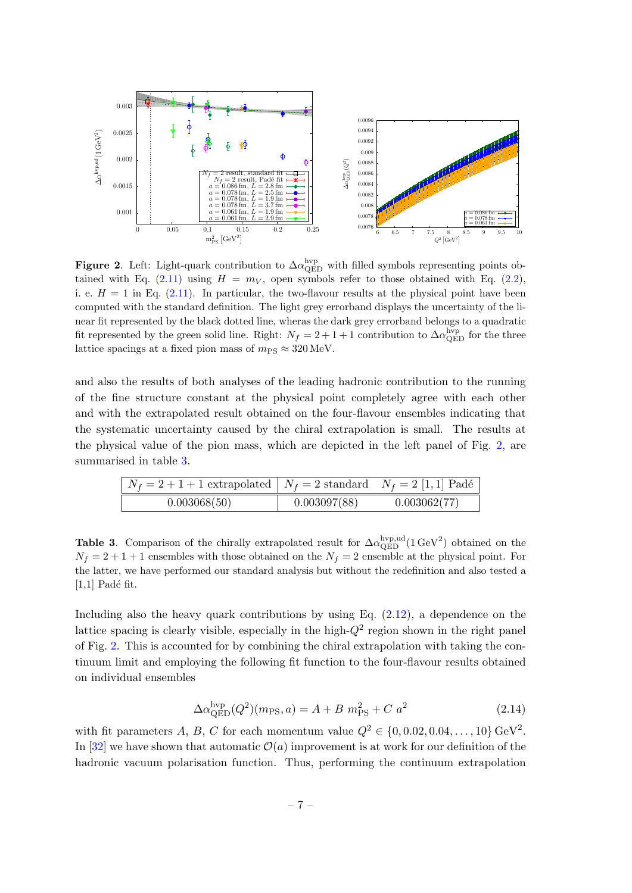

<span id="page-7-0"></span>Figure 2. Left: Light-quark contribution to  $\Delta \alpha_{\rm QED}^{\rm hvp}$  with filled symbols representing points ob-tained with Eq. [\(2.11\)](#page-5-1) using  $H = m_V$ , open symbols refer to those obtained with Eq. [\(2.2\)](#page-3-4), i. e.  $H = 1$  in Eq. [\(2.11\)](#page-5-1). In particular, the two-flavour results at the physical point have been computed with the standard definition. The light grey errorband displays the uncertainty of the linear fit represented by the black dotted line, wheras the dark grey errorband belongs to a quadratic fit represented by the green solid line. Right:  $N_f = 2 + 1 + 1$  contribution to  $\Delta \alpha_{\rm QED}^{\rm hvp}$  for the three lattice spacings at a fixed pion mass of  $m_{PS} \approx 320 \,\text{MeV}$ .

and also the results of both analyses of the leading hadronic contribution to the running of the fine structure constant at the physical point completely agree with each other and with the extrapolated result obtained on the four-flavour ensembles indicating that the systematic uncertainty caused by the chiral extrapolation is small. The results at the physical value of the pion mass, which are depicted in the left panel of Fig. [2,](#page-7-0) are summarised in table [3.](#page-7-1)

| $N_f = 2 + 1 + 1$ extrapolated $N_f = 2$ standard $N_f = 2$ [1, 1] Padé |              |              |
|-------------------------------------------------------------------------|--------------|--------------|
| 0.003068(50)                                                            | 0.003097(88) | 0.003062(77) |

<span id="page-7-1"></span>**Table 3.** Comparison of the chirally extrapolated result for  $\Delta \alpha_{\rm QED}^{\rm hyp,ud}(1 \text{ GeV}^2)$  obtained on the  $N_f = 2 + 1 + 1$  ensembles with those obtained on the  $N_f = 2$  ensemble at the physical point. For the latter, we have performed our standard analysis but without the redefinition and also tested a  $[1,1]$  Padé fit.

Including also the heavy quark contributions by using Eq.  $(2.12)$ , a dependence on the lattice spacing is clearly visible, especially in the high- $Q^2$  region shown in the right panel of Fig. [2.](#page-7-0) This is accounted for by combining the chiral extrapolation with taking the continuum limit and employing the following fit function to the four-flavour results obtained on individual ensembles

<span id="page-7-2"></span>
$$
\Delta \alpha_{\text{QED}}^{\text{hvp}}(Q^2)(m_{\text{PS}}, a) = A + B \; m_{\text{PS}}^2 + C \; a^2 \tag{2.14}
$$

with fit parameters A, B, C for each momentum value  $Q^2 \in \{0, 0.02, 0.04, \ldots, 10\} \,\text{GeV}^2$ . In [\[32\]](#page-21-12) we have shown that automatic  $\mathcal{O}(a)$  improvement is at work for our definition of the hadronic vacuum polarisation function. Thus, performing the continuum extrapolation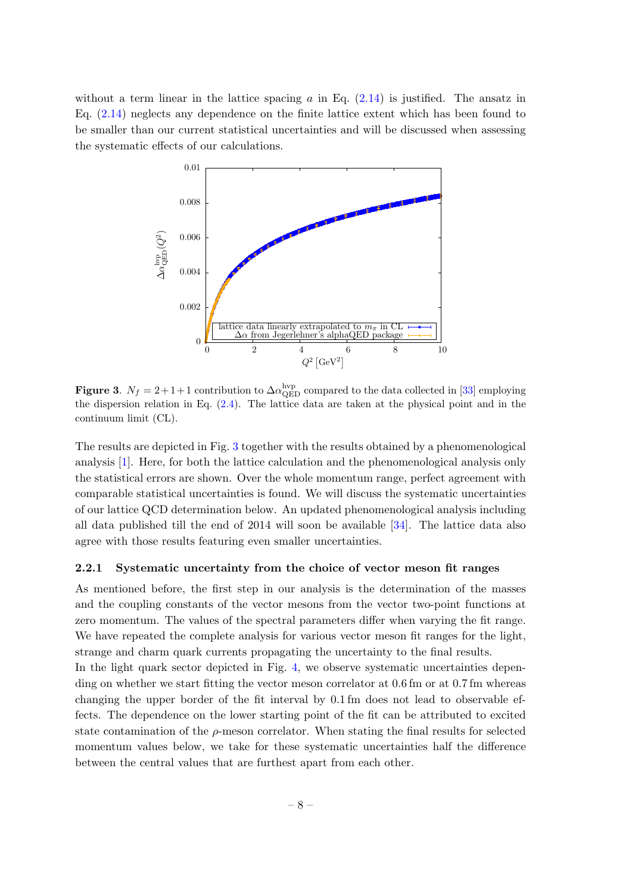without a term linear in the lattice spacing a in Eq.  $(2.14)$  is justified. The ansatz in Eq. [\(2.14\)](#page-7-2) neglects any dependence on the finite lattice extent which has been found to be smaller than our current statistical uncertainties and will be discussed when assessing the systematic effects of our calculations.



<span id="page-8-1"></span>**Figure 3.**  $N_f = 2 + 1 + 1$  contribution to  $\Delta \alpha_{\text{QED}}^{\text{hvp}}$  compared to the data collected in [\[33\]](#page-21-13) employing the dispersion relation in Eq. [\(2.4\)](#page-3-5). The lattice data are taken at the physical point and in the continuum limit (CL).

The results are depicted in Fig. [3](#page-8-1) together with the results obtained by a phenomenological analysis [\[1\]](#page-20-0). Here, for both the lattice calculation and the phenomenological analysis only the statistical errors are shown. Over the whole momentum range, perfect agreement with comparable statistical uncertainties is found. We will discuss the systematic uncertainties of our lattice QCD determination below. An updated phenomenological analysis including all data published till the end of 2014 will soon be available [\[34\]](#page-21-14). The lattice data also agree with those results featuring even smaller uncertainties.

### <span id="page-8-0"></span>2.2.1 Systematic uncertainty from the choice of vector meson fit ranges

As mentioned before, the first step in our analysis is the determination of the masses and the coupling constants of the vector mesons from the vector two-point functions at zero momentum. The values of the spectral parameters differ when varying the fit range. We have repeated the complete analysis for various vector meson fit ranges for the light, strange and charm quark currents propagating the uncertainty to the final results.

In the light quark sector depicted in Fig. [4,](#page-9-1) we observe systematic uncertainties depending on whether we start fitting the vector meson correlator at 0.6 fm or at 0.7 fm whereas changing the upper border of the fit interval by 0.1 fm does not lead to observable effects. The dependence on the lower starting point of the fit can be attributed to excited state contamination of the  $\rho$ -meson correlator. When stating the final results for selected momentum values below, we take for these systematic uncertainties half the difference between the central values that are furthest apart from each other.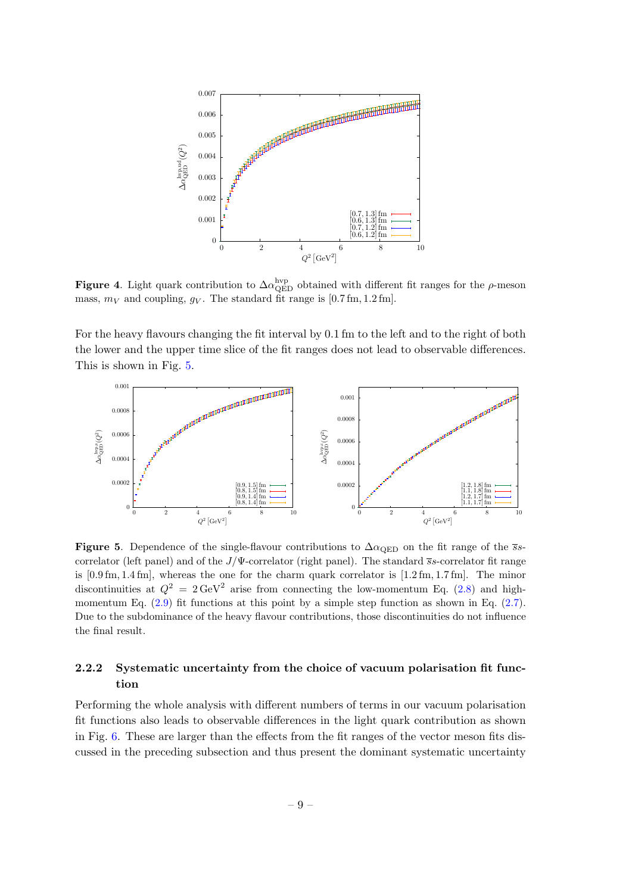

<span id="page-9-1"></span>Figure 4. Light quark contribution to  $\Delta \alpha_{\rm QED}^{\rm hvp}$  obtained with different fit ranges for the  $\rho$ -meson mass,  $m_V$  and coupling,  $g_V$ . The standard fit range is [0.7 fm, 1.2 fm].

For the heavy flavours changing the fit interval by 0.1 fm to the left and to the right of both the lower and the upper time slice of the fit ranges does not lead to observable differences. This is shown in Fig. [5.](#page-9-2)



<span id="page-9-2"></span>Figure 5. Dependence of the single-flavour contributions to  $\Delta \alpha_{\text{QED}}$  on the fit range of the sscorrelator (left panel) and of the  $J/\Psi$ -correlator (right panel). The standard  $\bar{s}s$ -correlator fit range is [0.9 fm, 1.4 fm], whereas the one for the charm quark correlator is [1.2 fm, 1.7 fm]. The minor discontinuities at  $Q^2 = 2 \text{ GeV}^2$  arise from connecting the low-momentum Eq. [\(2.8\)](#page-3-1) and highmomentum Eq.  $(2.9)$  fit functions at this point by a simple step function as shown in Eq.  $(2.7)$ . Due to the subdominance of the heavy flavour contributions, those discontinuities do not influence the final result.

### <span id="page-9-0"></span>2.2.2 Systematic uncertainty from the choice of vacuum polarisation fit function

Performing the whole analysis with different numbers of terms in our vacuum polarisation fit functions also leads to observable differences in the light quark contribution as shown in Fig. [6.](#page-10-1) These are larger than the effects from the fit ranges of the vector meson fits discussed in the preceding subsection and thus present the dominant systematic uncertainty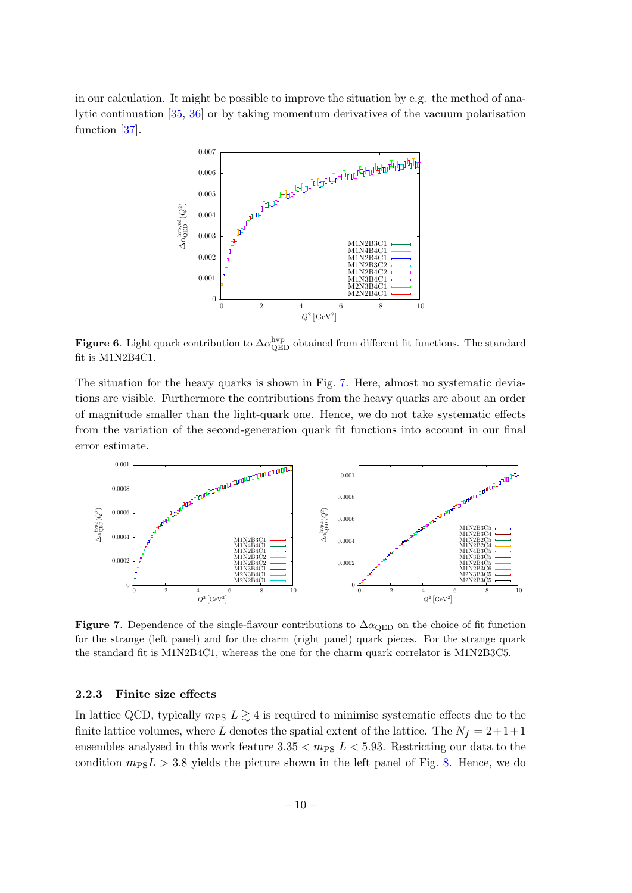in our calculation. It might be possible to improve the situation by e.g. the method of analytic continuation [\[35,](#page-21-15) [36\]](#page-22-0) or by taking momentum derivatives of the vacuum polarisation function [\[37\]](#page-22-1).



<span id="page-10-1"></span>Figure 6. Light quark contribution to  $\Delta \alpha_{\rm QED}^{\rm hvp}$  obtained from different fit functions. The standard fit is M1N2B4C1.

The situation for the heavy quarks is shown in Fig. [7.](#page-10-2) Here, almost no systematic deviations are visible. Furthermore the contributions from the heavy quarks are about an order of magnitude smaller than the light-quark one. Hence, we do not take systematic effects from the variation of the second-generation quark fit functions into account in our final error estimate.



<span id="page-10-2"></span>Figure 7. Dependence of the single-flavour contributions to  $\Delta \alpha_{\text{QED}}$  on the choice of fit function for the strange (left panel) and for the charm (right panel) quark pieces. For the strange quark the standard fit is M1N2B4C1, whereas the one for the charm quark correlator is M1N2B3C5.

### <span id="page-10-0"></span>2.2.3 Finite size effects

In lattice QCD, typically  $m_{\text{PS}} L \gtrsim 4$  is required to minimise systematic effects due to the finite lattice volumes, where L denotes the spatial extent of the lattice. The  $N_f = 2+1+1$ ensembles analysed in this work feature  $3.35 < m_{PS} L < 5.93$ . Restricting our data to the condition  $m_{\text{PS}}L > 3.8$  yields the picture shown in the left panel of Fig. [8.](#page-11-3) Hence, we do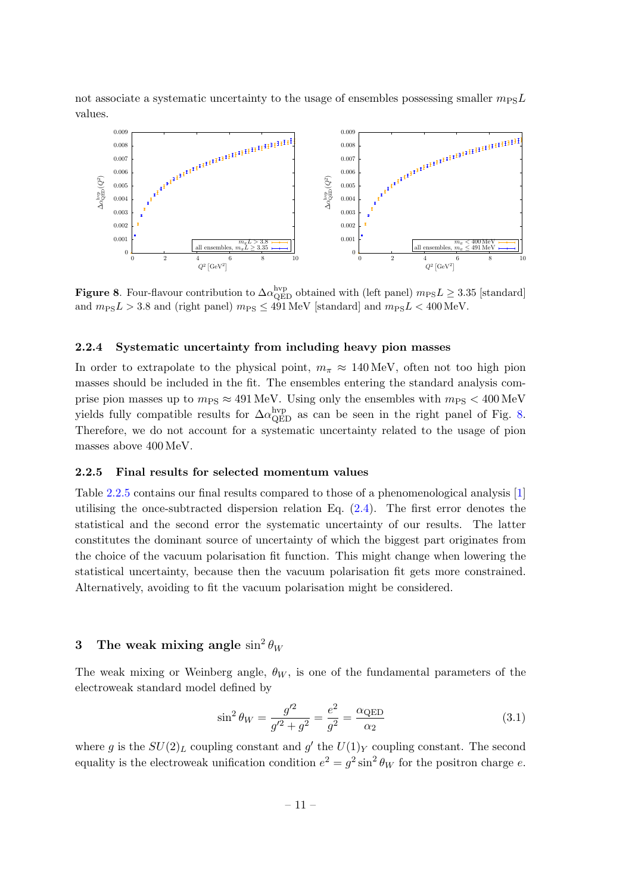not associate a systematic uncertainty to the usage of ensembles possessing smaller  $m_{\text{PS}}L$ values.



<span id="page-11-3"></span>**Figure 8.** Four-flavour contribution to  $\Delta \alpha_{\text{QED}}^{\text{hyp}}$  obtained with (left panel)  $m_{\text{PS}}L \geq 3.35$  [standard] and  $m_{\text{PS}}L > 3.8$  and (right panel)  $m_{\text{PS}} \leq 491 \,\text{MeV}$  [standard] and  $m_{\text{PS}}L < 400 \,\text{MeV}$ .

### <span id="page-11-0"></span>2.2.4 Systematic uncertainty from including heavy pion masses

In order to extrapolate to the physical point,  $m_{\pi} \approx 140 \,\text{MeV}$ , often not too high pion masses should be included in the fit. The ensembles entering the standard analysis comprise pion masses up to  $m_{PS} \approx 491 \text{ MeV}$ . Using only the ensembles with  $m_{PS} < 400 \text{ MeV}$ yields fully compatible results for  $\Delta \alpha_{\rm QED}^{\rm hvp}$  as can be seen in the right panel of Fig. [8.](#page-11-3) Therefore, we do not account for a systematic uncertainty related to the usage of pion masses above 400 MeV.

#### <span id="page-11-1"></span>2.2.5 Final results for selected momentum values

Table [2.2.5](#page-11-1) contains our final results compared to those of a phenomenological analysis [\[1\]](#page-20-0) utilising the once-subtracted dispersion relation Eq. [\(2.4\)](#page-3-5). The first error denotes the statistical and the second error the systematic uncertainty of our results. The latter constitutes the dominant source of uncertainty of which the biggest part originates from the choice of the vacuum polarisation fit function. This might change when lowering the statistical uncertainty, because then the vacuum polarisation fit gets more constrained. Alternatively, avoiding to fit the vacuum polarisation might be considered.

## <span id="page-11-2"></span>3 The weak mixing angle  $\sin^2\theta_W$

The weak mixing or Weinberg angle,  $\theta_W$ , is one of the fundamental parameters of the electroweak standard model defined by

$$
\sin^2 \theta_W = \frac{g'^2}{g'^2 + g^2} = \frac{e^2}{g^2} = \frac{\alpha_{\text{QED}}}{\alpha_2} \tag{3.1}
$$

where g is the  $SU(2)_L$  coupling constant and g' the  $U(1)_Y$  coupling constant. The second equality is the electroweak unification condition  $e^2 = g^2 \sin^2 \theta_W$  for the positron charge e.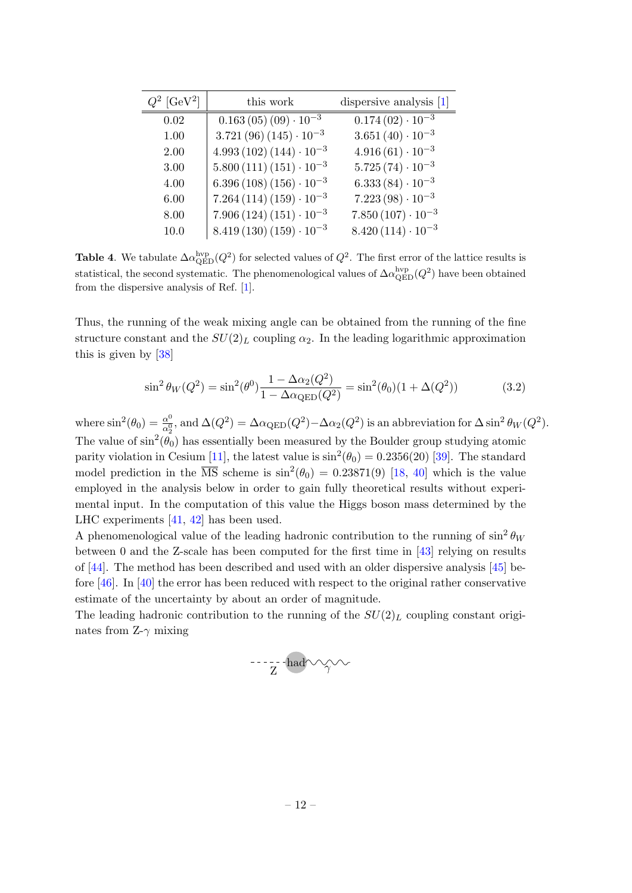| $Q^2$ [GeV <sup>2</sup> ] | this work                      | dispersive analysis $[1]$ |
|---------------------------|--------------------------------|---------------------------|
| 0.02                      | $0.163(05)(09)\cdot 10^{-3}$   | $0.174(02)\cdot 10^{-3}$  |
| 1.00                      | $3.721(96)(145)\cdot 10^{-3}$  | $3.651(40)\cdot 10^{-3}$  |
| 2.00                      | $4.993(102)(144)\cdot 10^{-3}$ | $4.916(61)\cdot 10^{-3}$  |
| 3.00                      | $5.800(111)(151)\cdot 10^{-3}$ | $5.725(74)\cdot 10^{-3}$  |
| 4.00                      | $6.396(108)(156)\cdot10^{-3}$  | $6.333(84)\cdot10^{-3}$   |
| 6.00                      | $7.264(114)(159)\cdot 10^{-3}$ | $7.223(98)\cdot 10^{-3}$  |
| 8.00                      | $7.906(124)(151)\cdot 10^{-3}$ | $7.850(107)\cdot10^{-3}$  |
| 10.0                      | $8.419(130)(159)\cdot 10^{-3}$ | $8.420(114)\cdot 10^{-3}$ |

**Table 4.** We tabulate  $\Delta \alpha_{\text{QED}}^{\text{hyp}}(Q^2)$  for selected values of  $Q^2$ . The first error of the lattice results is statistical, the second systematic. The phenomenological values of  $\Delta \alpha_{\rm QED}^{\rm hyp}(Q^2)$  have been obtained from the dispersive analysis of Ref. [\[1\]](#page-20-0).

Thus, the running of the weak mixing angle can be obtained from the running of the fine structure constant and the  $SU(2)_L$  coupling  $\alpha_2$ . In the leading logarithmic approximation this is given by [\[38\]](#page-22-2)

$$
\sin^2 \theta_W(Q^2) = \sin^2(\theta^0) \frac{1 - \Delta \alpha_2(Q^2)}{1 - \Delta \alpha_{\text{QED}}(Q^2)} = \sin^2(\theta_0)(1 + \Delta(Q^2))
$$
\n(3.2)

where  $\sin^2(\theta_0) = \frac{\alpha^0}{\alpha_s^0}$  $\frac{\alpha^0}{\alpha_2^0}$ , and  $\Delta(Q^2) = \Delta \alpha_{\rm QED}(Q^2) - \Delta \alpha_2(Q^2)$  is an abbreviation for  $\Delta \sin^2 \theta_W(Q^2)$ . The value of  $\sin^2(\theta_0)$  has essentially been measured by the Boulder group studying atomic parity violation in Cesium [\[11\]](#page-20-10), the latest value is  $\sin^2(\theta_0) = 0.2356(20)$  [\[39\]](#page-22-3). The standard model prediction in the  $\overline{\text{MS}}$  scheme is  $\sin^2(\theta_0) = 0.23871(9)$  [\[18,](#page-20-14) [40\]](#page-22-4) which is the value employed in the analysis below in order to gain fully theoretical results without experimental input. In the computation of this value the Higgs boson mass determined by the LHC experiments [\[41,](#page-22-5) [42\]](#page-22-6) has been used.

A phenomenological value of the leading hadronic contribution to the running of  $\sin^2 \theta_W$ between 0 and the Z-scale has been computed for the first time in [\[43\]](#page-22-7) relying on results of [\[44\]](#page-22-8). The method has been described and used with an older dispersive analysis [\[45\]](#page-22-9) before [\[46\]](#page-22-10). In [\[40\]](#page-22-4) the error has been reduced with respect to the original rather conservative estimate of the uncertainty by about an order of magnitude.

The leading hadronic contribution to the running of the  $SU(2)_L$  coupling constant originates from  $Z-\gamma$  mixing

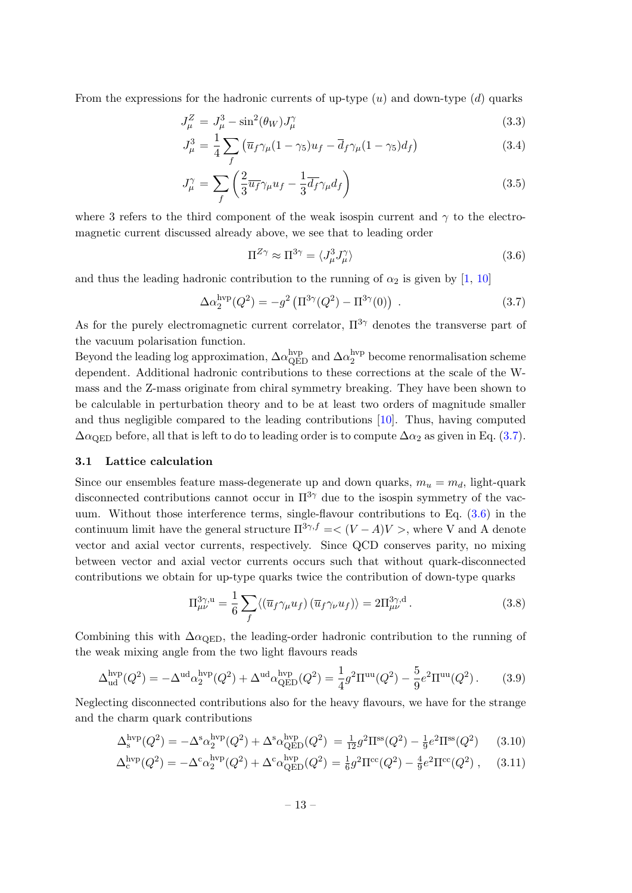From the expressions for the hadronic currents of up-type  $(u)$  and down-type  $(d)$  quarks

$$
J_{\mu}^{Z} = J_{\mu}^{3} - \sin^{2}(\theta_{W})J_{\mu}^{\gamma}
$$
\n(3.3)

$$
J_{\mu}^{3} = \frac{1}{4} \sum_{f} \left( \overline{u}_{f} \gamma_{\mu} (1 - \gamma_{5}) u_{f} - \overline{d}_{f} \gamma_{\mu} (1 - \gamma_{5}) d_{f} \right) \tag{3.4}
$$

$$
J_{\mu}^{\gamma} = \sum_{f} \left( \frac{2}{3} \overline{u_f} \gamma_{\mu} u_f - \frac{1}{3} \overline{d_f} \gamma_{\mu} d_f \right) \tag{3.5}
$$

where 3 refers to the third component of the weak isospin current and  $\gamma$  to the electromagnetic current discussed already above, we see that to leading order

<span id="page-13-2"></span>
$$
\Pi^{Z\gamma} \approx \Pi^{3\gamma} = \langle J^3_\mu J^{\gamma}_\mu \rangle \tag{3.6}
$$

and thus the leading hadronic contribution to the running of  $\alpha_2$  is given by [\[1,](#page-20-0) [10\]](#page-20-9)

<span id="page-13-1"></span>
$$
\Delta \alpha_2^{\rm hvp}(Q^2) = -g^2 \left( \Pi^{3\gamma}(Q^2) - \Pi^{3\gamma}(0) \right) \,. \tag{3.7}
$$

As for the purely electromagnetic current correlator,  $\Pi^{3\gamma}$  denotes the transverse part of the vacuum polarisation function.

Beyond the leading log approximation,  $\Delta \alpha^{\rm hvp}_{\rm QED}$  and  $\Delta \alpha^{\rm hvp}_{2}$  $_2^{\rm nvp}$  become renormalisation scheme dependent. Additional hadronic contributions to these corrections at the scale of the Wmass and the Z-mass originate from chiral symmetry breaking. They have been shown to be calculable in perturbation theory and to be at least two orders of magnitude smaller and thus negligible compared to the leading contributions [\[10\]](#page-20-9). Thus, having computed  $\Delta \alpha_{\rm QED}$  before, all that is left to do to leading order is to compute  $\Delta \alpha_2$  as given in Eq. [\(3.7\)](#page-13-1).

#### <span id="page-13-0"></span>3.1 Lattice calculation

Since our ensembles feature mass-degenerate up and down quarks,  $m_u = m_d$ , light-quark disconnected contributions cannot occur in  $\Pi^{3\gamma}$  due to the isospin symmetry of the vacuum. Without those interference terms, single-flavour contributions to Eq.  $(3.6)$  in the continuum limit have the general structure  $\Pi^{3\gamma,f} = \langle (V - A)V \rangle$ , where V and A denote vector and axial vector currents, respectively. Since QCD conserves parity, no mixing between vector and axial vector currents occurs such that without quark-disconnected contributions we obtain for up-type quarks twice the contribution of down-type quarks

$$
\Pi_{\mu\nu}^{3\gamma,\mathrm{u}} = \frac{1}{6} \sum_{f} \langle (\overline{u}_f \gamma_\mu u_f) (\overline{u}_f \gamma_\nu u_f) \rangle = 2 \Pi_{\mu\nu}^{3\gamma,\mathrm{d}}.
$$
 (3.8)

Combining this with  $\Delta \alpha_{\text{QED}}$ , the leading-order hadronic contribution to the running of the weak mixing angle from the two light flavours reads

$$
\Delta_{\text{ud}}^{\text{hvp}}(Q^2) = -\Delta^{\text{ud}}\alpha_2^{\text{hvp}}(Q^2) + \Delta^{\text{ud}}\alpha_{\text{QED}}^{\text{hvp}}(Q^2) = \frac{1}{4}g^2\Pi^{\text{uu}}(Q^2) - \frac{5}{9}e^2\Pi^{\text{uu}}(Q^2).
$$
 (3.9)

Neglecting disconnected contributions also for the heavy flavours, we have for the strange and the charm quark contributions

$$
\Delta_s^{\rm hvp}(Q^2) = -\Delta^{\rm s} \alpha_2^{\rm hvp}(Q^2) + \Delta^{\rm s} \alpha_{\rm QED}^{\rm hvp}(Q^2) = \frac{1}{12} g^2 \Pi^{\rm ss}(Q^2) - \frac{1}{9} e^2 \Pi^{\rm ss}(Q^2)
$$
(3.10)

$$
\Delta_c^{\text{hvp}}(Q^2) = -\Delta^c \alpha_2^{\text{hvp}}(Q^2) + \Delta^c \alpha_{\text{QED}}^{\text{hvp}}(Q^2) = \frac{1}{6}g^2 \Pi^{cc}(Q^2) - \frac{4}{9}e^2 \Pi^{cc}(Q^2) , \quad (3.11)
$$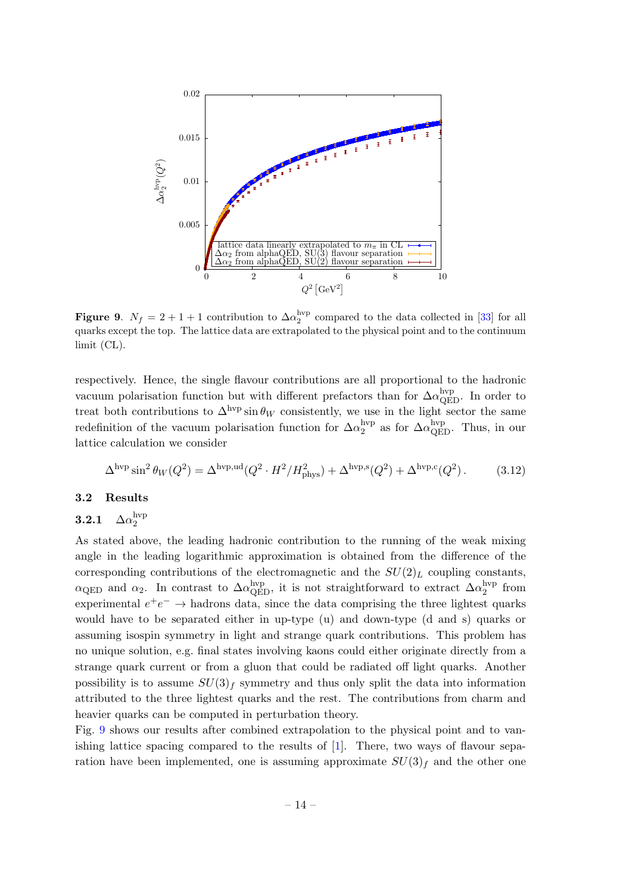

<span id="page-14-2"></span>Figure 9.  $N_f = 2 + 1 + 1$  contribution to  $\Delta \alpha_2^{\text{hyp}}$  compared to the data collected in [\[33\]](#page-21-13) for all quarks except the top. The lattice data are extrapolated to the physical point and to the continuum limit (CL).

respectively. Hence, the single flavour contributions are all proportional to the hadronic vacuum polarisation function but with different prefactors than for  $\Delta \alpha_{\rm QED}^{\rm hvp}$ . In order to treat both contributions to  $\Delta^{\text{hyp}} \sin \theta_W$  consistently, we use in the light sector the same redefinition of the vacuum polarisation function for  $\Delta a_2^{\text{hyp}}$  $_2^{\rm hyp}$  as for  $\Delta\alpha_{\rm QED}^{\rm hyp}$ . Thus, in our lattice calculation we consider

$$
\Delta^{\rm hvp} \sin^2 \theta_W(Q^2) = \Delta^{\rm hvp,ud}(Q^2 \cdot H^2 / H_{\rm phys}^2) + \Delta^{\rm hvp,s}(Q^2) + \Delta^{\rm hvp,c}(Q^2) \,. \tag{3.12}
$$

### <span id="page-14-0"></span>3.2 Results

#### <span id="page-14-1"></span> $3.2.1$ hvp 2

As stated above, the leading hadronic contribution to the running of the weak mixing angle in the leading logarithmic approximation is obtained from the difference of the corresponding contributions of the electromagnetic and the  $SU(2)_L$  coupling constants,  $\alpha_{\rm QED}$  and  $\alpha_2$ . In contrast to  $\Delta \alpha_{\rm QED}^{\rm hvp}$ , it is not straightforward to extract  $\Delta \alpha_2^{\rm hvp}$  $_2^{\rm nvp}$  from experimental  $e^+e^- \rightarrow$  hadrons data, since the data comprising the three lightest quarks would have to be separated either in up-type (u) and down-type (d and s) quarks or assuming isospin symmetry in light and strange quark contributions. This problem has no unique solution, e.g. final states involving kaons could either originate directly from a strange quark current or from a gluon that could be radiated off light quarks. Another possibility is to assume  $SU(3)<sub>f</sub>$  symmetry and thus only split the data into information attributed to the three lightest quarks and the rest. The contributions from charm and heavier quarks can be computed in perturbation theory.

Fig. [9](#page-14-2) shows our results after combined extrapolation to the physical point and to vanishing lattice spacing compared to the results of [\[1\]](#page-20-0). There, two ways of flavour separation have been implemented, one is assuming approximate  $SU(3)_f$  and the other one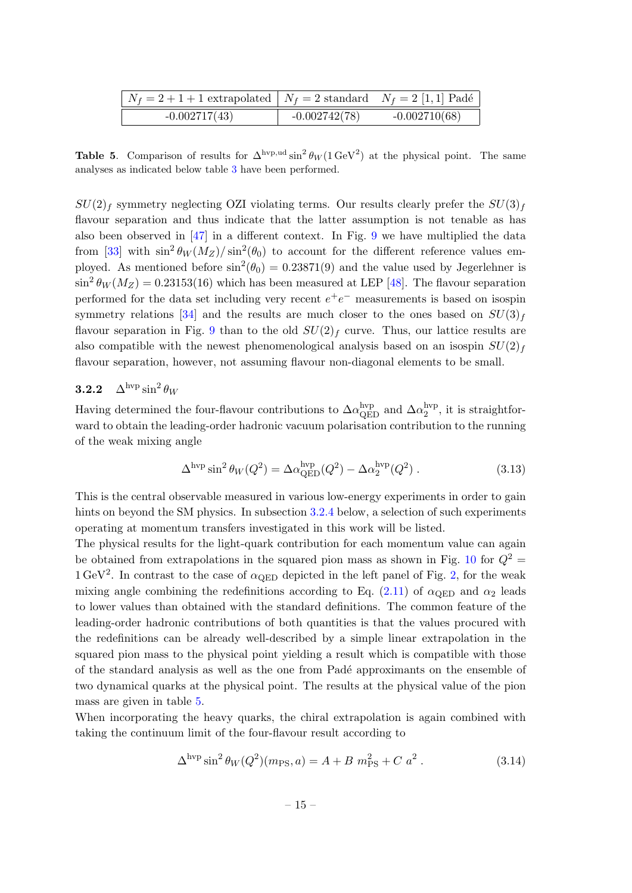| $N_f = 2 + 1 + 1$ extrapolated $N_f = 2$ standard $N_f = 2$ [1, 1] Padé |                 |                 |
|-------------------------------------------------------------------------|-----------------|-----------------|
| $-0.002717(43)$                                                         | $-0.002742(78)$ | $-0.002710(68)$ |

<span id="page-15-1"></span>**Table 5.** Comparison of results for  $\Delta^{hvp,ud} \sin^2 \theta_W (1 \text{ GeV}^2)$  at the physical point. The same analyses as indicated below table [3](#page-7-1) have been performed.

 $SU(2)_f$  symmetry neglecting OZI violating terms. Our results clearly prefer the  $SU(3)_f$ flavour separation and thus indicate that the latter assumption is not tenable as has also been observed in [\[47\]](#page-22-11) in a different context. In Fig. [9](#page-14-2) we have multiplied the data from [\[33\]](#page-21-13) with  $\sin^2 \theta_W(M_Z)/\sin^2(\theta_0)$  to account for the different reference values employed. As mentioned before  $\sin^2(\theta_0) = 0.23871(9)$  and the value used by Jegerlehner is  $\sin^2 \theta_W(M_Z) = 0.23153(16)$  which has been measured at LEP [\[48\]](#page-22-12). The flavour separation performed for the data set including very recent  $e^+e^-$  measurements is based on isospin symmetry relations [\[34\]](#page-21-14) and the results are much closer to the ones based on  $SU(3)<sub>f</sub>$ flavour separation in Fig. [9](#page-14-2) than to the old  $SU(2)_f$  curve. Thus, our lattice results are also compatible with the newest phenomenological analysis based on an isospin  $SU(2)_f$ flavour separation, however, not assuming flavour non-diagonal elements to be small.

### <span id="page-15-0"></span>**3.2.2**  $\Delta^{\rm hvp} \sin^2 \theta_W$

Having determined the four-flavour contributions to  $\Delta\alpha_{\rm QED}^{\rm hvp}$  and  $\Delta\alpha_2^{\rm hvp}$  $_2^{\rm nvp}$ , it is straightforward to obtain the leading-order hadronic vacuum polarisation contribution to the running of the weak mixing angle

$$
\Delta^{\rm hvp} \sin^2 \theta_W(Q^2) = \Delta \alpha_{\rm QED}^{\rm hvp}(Q^2) - \Delta \alpha_2^{\rm hvp}(Q^2) . \tag{3.13}
$$

This is the central observable measured in various low-energy experiments in order to gain hints on beyond the SM physics. In subsection [3.2.4](#page-17-0) below, a selection of such experiments operating at momentum transfers investigated in this work will be listed.

The physical results for the light-quark contribution for each momentum value can again be obtained from extrapolations in the squared pion mass as shown in Fig. [10](#page-16-1) for  $Q^2$  =  $1 \text{ GeV}^2$ . In contrast to the case of  $\alpha_{\text{QED}}$  depicted in the left panel of Fig. [2,](#page-7-0) for the weak mixing angle combining the redefinitions according to Eq. [\(2.11\)](#page-5-1) of  $\alpha$ <sub>QED</sub> and  $\alpha_2$  leads to lower values than obtained with the standard definitions. The common feature of the leading-order hadronic contributions of both quantities is that the values procured with the redefinitions can be already well-described by a simple linear extrapolation in the squared pion mass to the physical point yielding a result which is compatible with those of the standard analysis as well as the one from Pad´e approximants on the ensemble of two dynamical quarks at the physical point. The results at the physical value of the pion mass are given in table [5.](#page-15-1)

When incorporating the heavy quarks, the chiral extrapolation is again combined with taking the continuum limit of the four-flavour result according to

$$
\Delta^{\rm hvp} \sin^2 \theta_W(Q^2)(m_{\rm PS}, a) = A + B m_{\rm PS}^2 + C a^2.
$$
 (3.14)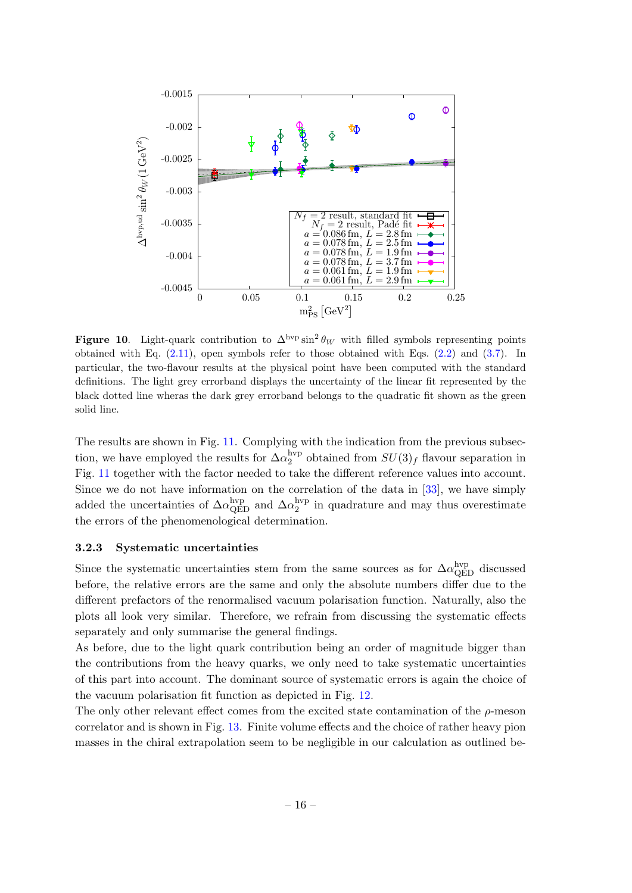

<span id="page-16-1"></span>Figure 10. Light-quark contribution to  $\Delta^{\rm hvp} \sin^2 \theta_W$  with filled symbols representing points obtained with Eq. [\(2.11\)](#page-5-1), open symbols refer to those obtained with Eqs. [\(2.2\)](#page-3-4) and [\(3.7\)](#page-13-1). In particular, the two-flavour results at the physical point have been computed with the standard definitions. The light grey errorband displays the uncertainty of the linear fit represented by the black dotted line wheras the dark grey errorband belongs to the quadratic fit shown as the green solid line.

The results are shown in Fig. [11.](#page-17-1) Complying with the indication from the previous subsection, we have employed the results for  $\Delta \alpha_2^{\rm hvp}$  $2^{IVP}$  obtained from  $SU(3)_f$  flavour separation in Fig. [11](#page-17-1) together with the factor needed to take the different reference values into account. Since we do not have information on the correlation of the data in [\[33\]](#page-21-13), we have simply added the uncertainties of  $\Delta \alpha_{\rm QED}^{\rm hvp}$  and  $\Delta \alpha_2^{\rm hvp}$  $_2^{\rm nvp}$  in quadrature and may thus overestimate the errors of the phenomenological determination.

### <span id="page-16-0"></span>3.2.3 Systematic uncertainties

Since the systematic uncertainties stem from the same sources as for  $\Delta \alpha_{\rm QED}^{\rm hvp}$  discussed before, the relative errors are the same and only the absolute numbers differ due to the different prefactors of the renormalised vacuum polarisation function. Naturally, also the plots all look very similar. Therefore, we refrain from discussing the systematic effects separately and only summarise the general findings.

As before, due to the light quark contribution being an order of magnitude bigger than the contributions from the heavy quarks, we only need to take systematic uncertainties of this part into account. The dominant source of systematic errors is again the choice of the vacuum polarisation fit function as depicted in Fig. [12.](#page-17-2)

The only other relevant effect comes from the excited state contamination of the  $\rho$ -meson correlator and is shown in Fig. [13.](#page-18-0) Finite volume effects and the choice of rather heavy pion masses in the chiral extrapolation seem to be negligible in our calculation as outlined be-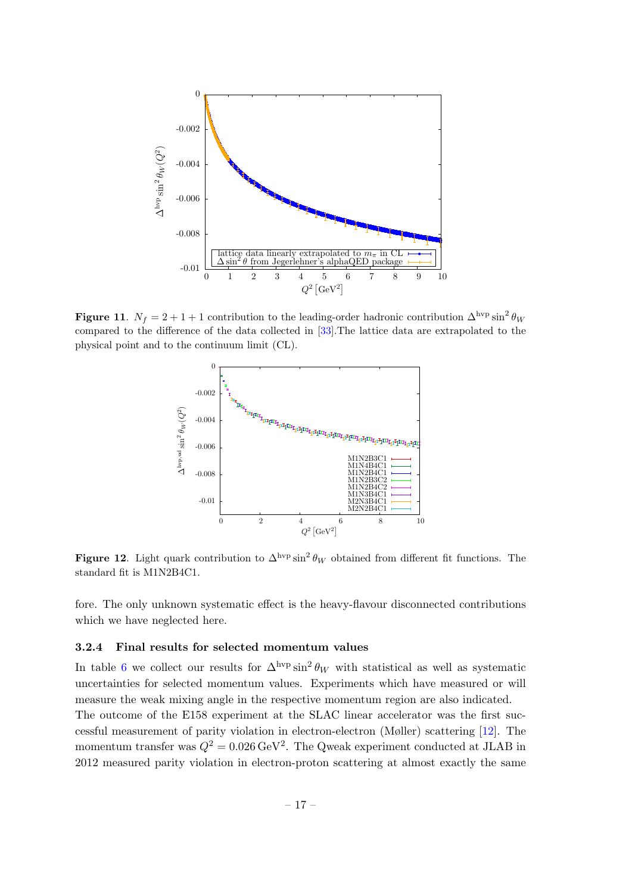

Figure 11.  $N_f = 2 + 1 + 1$  contribution to the leading-order hadronic contribution  $\Delta^{\text{hyp}} \sin^2 \theta_W$ compared to the difference of the data collected in [\[33\]](#page-21-13).The lattice data are extrapolated to the physical point and to the continuum limit (CL).

<span id="page-17-1"></span>

<span id="page-17-2"></span>Figure 12. Light quark contribution to  $\Delta^{\text{hvp}} \sin^2 \theta_W$  obtained from different fit functions. The standard fit is M1N2B4C1.

fore. The only unknown systematic effect is the heavy-flavour disconnected contributions which we have neglected here.

### <span id="page-17-0"></span>3.2.4 Final results for selected momentum values

In table [6](#page-18-1) we collect our results for  $\Delta^{\rm hvp} \sin^2 \theta_W$  with statistical as well as systematic uncertainties for selected momentum values. Experiments which have measured or will measure the weak mixing angle in the respective momentum region are also indicated. The outcome of the E158 experiment at the SLAC linear accelerator was the first suc-

cessful measurement of parity violation in electron-electron (Møller) scattering [\[12\]](#page-20-15). The momentum transfer was  $Q^2 = 0.026 \,\text{GeV}^2$ . The Qweak experiment conducted at JLAB in 2012 measured parity violation in electron-proton scattering at almost exactly the same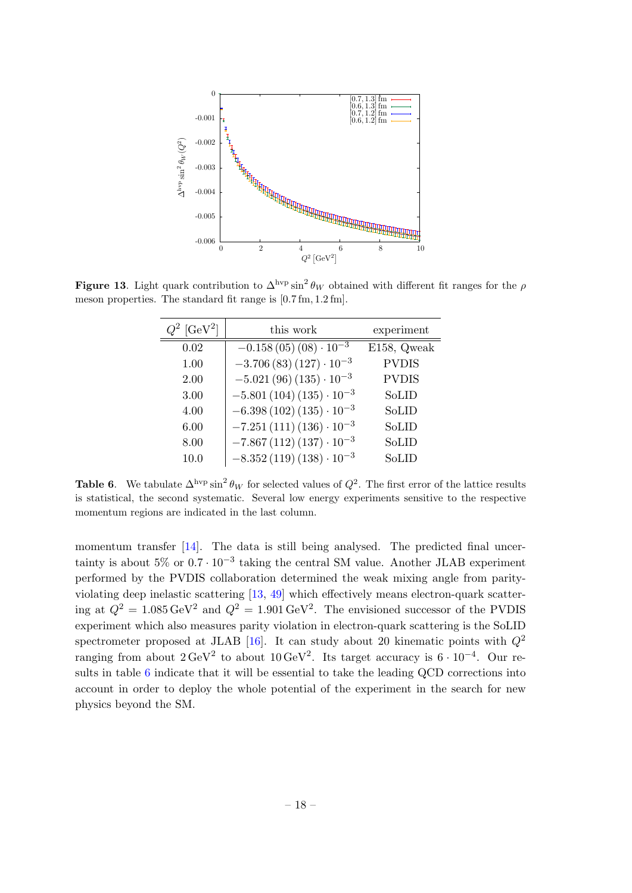

Figure 13. Light quark contribution to  $\Delta^{\rm hvp} \sin^2 \theta_W$  obtained with different fit ranges for the  $\rho$ meson properties. The standard fit range is [0.7 fm, 1.2 fm].

<span id="page-18-0"></span>

| $[GeV^2]$ | this work                       | experiment   |
|-----------|---------------------------------|--------------|
| 0.02      | $-0.158(05)(08)\cdot 10^{-3}$   | E158, Qweak  |
| 1.00      | $-3.706(83)(127)\cdot 10^{-3}$  | <b>PVDIS</b> |
| 2.00      | $-5.021(96)(135)\cdot 10^{-3}$  | <b>PVDIS</b> |
| 3.00      | $-5.801(104)(135)\cdot 10^{-3}$ | SoLID        |
| 4.00      | $-6.398(102)(135)\cdot 10^{-3}$ | SoLID        |
| 6.00      | $-7.251(111)(136)\cdot 10^{-3}$ | SoLID        |
| 8.00      | $-7.867(112)(137)\cdot 10^{-3}$ | SoLID        |
| 10.0      | $-8.352(119)(138)\cdot 10^{-3}$ | SoLID        |

<span id="page-18-1"></span>**Table 6.** We tabulate  $\Delta^{\text{hyp}} \sin^2 \theta_W$  for selected values of  $Q^2$ . The first error of the lattice results is statistical, the second systematic. Several low energy experiments sensitive to the respective momentum regions are indicated in the last column.

momentum transfer [\[14\]](#page-20-11). The data is still being analysed. The predicted final uncertainty is about  $5\%$  or  $0.7 \cdot 10^{-3}$  taking the central SM value. Another JLAB experiment performed by the PVDIS collaboration determined the weak mixing angle from parityviolating deep inelastic scattering [\[13,](#page-20-16) [49\]](#page-22-13) which effectively means electron-quark scattering at  $Q^2 = 1.085 \,\text{GeV}^2$  and  $Q^2 = 1.901 \,\text{GeV}^2$ . The envisioned successor of the PVDIS experiment which also measures parity violation in electron-quark scattering is the SoLID spectrometer proposed at JLAB [\[16\]](#page-20-17). It can study about 20 kinematic points with  $Q^2$ ranging from about  $2 \text{ GeV}^2$  to about  $10 \text{ GeV}^2$ . Its target accuracy is  $6 \cdot 10^{-4}$ . Our results in table [6](#page-18-1) indicate that it will be essential to take the leading QCD corrections into account in order to deploy the whole potential of the experiment in the search for new physics beyond the SM.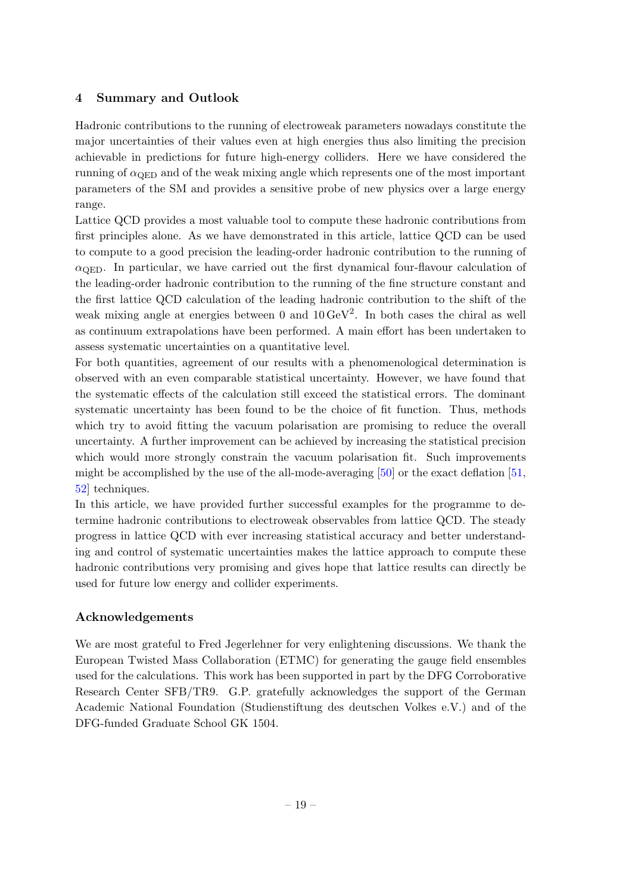### <span id="page-19-0"></span>4 Summary and Outlook

Hadronic contributions to the running of electroweak parameters nowadays constitute the major uncertainties of their values even at high energies thus also limiting the precision achievable in predictions for future high-energy colliders. Here we have considered the running of  $\alpha_{\text{QED}}$  and of the weak mixing angle which represents one of the most important parameters of the SM and provides a sensitive probe of new physics over a large energy range.

Lattice QCD provides a most valuable tool to compute these hadronic contributions from first principles alone. As we have demonstrated in this article, lattice QCD can be used to compute to a good precision the leading-order hadronic contribution to the running of  $\alpha_{\text{QED}}$ . In particular, we have carried out the first dynamical four-flavour calculation of the leading-order hadronic contribution to the running of the fine structure constant and the first lattice QCD calculation of the leading hadronic contribution to the shift of the weak mixing angle at energies between 0 and  $10 \,\text{GeV}^2$ . In both cases the chiral as well as continuum extrapolations have been performed. A main effort has been undertaken to assess systematic uncertainties on a quantitative level.

For both quantities, agreement of our results with a phenomenological determination is observed with an even comparable statistical uncertainty. However, we have found that the systematic effects of the calculation still exceed the statistical errors. The dominant systematic uncertainty has been found to be the choice of fit function. Thus, methods which try to avoid fitting the vacuum polarisation are promising to reduce the overall uncertainty. A further improvement can be achieved by increasing the statistical precision which would more strongly constrain the vacuum polarisation fit. Such improvements might be accomplished by the use of the all-mode-averaging  $[50]$  or the exact deflation  $[51]$ , [52\]](#page-22-16) techniques.

In this article, we have provided further successful examples for the programme to determine hadronic contributions to electroweak observables from lattice QCD. The steady progress in lattice QCD with ever increasing statistical accuracy and better understanding and control of systematic uncertainties makes the lattice approach to compute these hadronic contributions very promising and gives hope that lattice results can directly be used for future low energy and collider experiments.

### Acknowledgements

We are most grateful to Fred Jegerlehner for very enlightening discussions. We thank the European Twisted Mass Collaboration (ETMC) for generating the gauge field ensembles used for the calculations. This work has been supported in part by the DFG Corroborative Research Center SFB/TR9. G.P. gratefully acknowledges the support of the German Academic National Foundation (Studienstiftung des deutschen Volkes e.V.) and of the DFG-funded Graduate School GK 1504.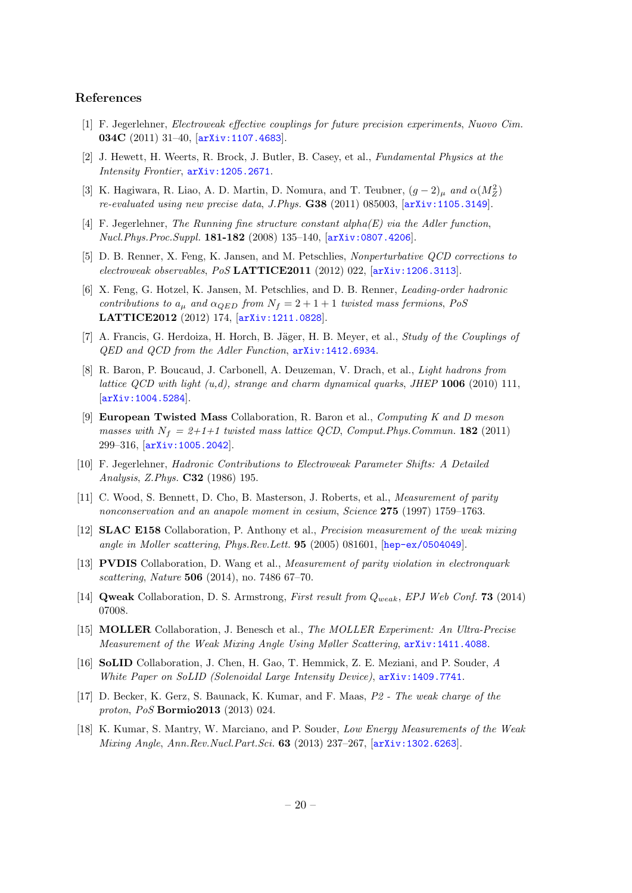#### References

- <span id="page-20-0"></span>[1] F. Jegerlehner, Electroweak effective couplings for future precision experiments, Nuovo Cim. 034C (2011) 31–40, [[arXiv:1107.4683](http://arxiv.org/abs/1107.4683)].
- <span id="page-20-1"></span>[2] J. Hewett, H. Weerts, R. Brock, J. Butler, B. Casey, et al., Fundamental Physics at the Intensity Frontier, [arXiv:1205.2671](http://arxiv.org/abs/1205.2671).
- <span id="page-20-2"></span>[3] K. Hagiwara, R. Liao, A. D. Martin, D. Nomura, and T. Teubner,  $(g-2)_{\mu}$  and  $\alpha(M_Z^2)$ re-evaluated using new precise data, J.Phys. G38 (2011) 085003, [[arXiv:1105.3149](http://arxiv.org/abs/1105.3149)].
- <span id="page-20-3"></span>[4] F. Jegerlehner, The Running fine structure constant alpha $(E)$  via the Adler function, Nucl.Phys.Proc.Suppl. 181-182 (2008) 135–140, [[arXiv:0807.4206](http://arxiv.org/abs/0807.4206)].
- <span id="page-20-4"></span>[5] D. B. Renner, X. Feng, K. Jansen, and M. Petschlies, Nonperturbative QCD corrections to electroweak observables, PoS LATTICE2011 (2012) 022, [[arXiv:1206.3113](http://arxiv.org/abs/1206.3113)].
- <span id="page-20-5"></span>[6] X. Feng, G. Hotzel, K. Jansen, M. Petschlies, and D. B. Renner, Leading-order hadronic contributions to  $a_{\mu}$  and  $\alpha_{QED}$  from  $N_f = 2 + 1 + 1$  twisted mass fermions, PoS LATTICE2012 (2012) 174, [[arXiv:1211.0828](http://arxiv.org/abs/1211.0828)].
- <span id="page-20-6"></span>[7] A. Francis, G. Herdoiza, H. Horch, B. Jäger, H. B. Meyer, et al., *Study of the Couplings of* QED and QCD from the Adler Function, [arXiv:1412.6934](http://arxiv.org/abs/1412.6934).
- <span id="page-20-7"></span>[8] R. Baron, P. Boucaud, J. Carbonell, A. Deuzeman, V. Drach, et al., Light hadrons from lattice QCD with light  $(u,d)$ , strange and charm dynamical quarks, JHEP 1006 (2010) 111, [[arXiv:1004.5284](http://arxiv.org/abs/1004.5284)].
- <span id="page-20-8"></span>[9] European Twisted Mass Collaboration, R. Baron et al., Computing K and D meson masses with  $N_f = 2+1+1$  twisted mass lattice QCD, Comput. Phys. Commun. 182 (2011) 299–316, [[arXiv:1005.2042](http://arxiv.org/abs/1005.2042)].
- <span id="page-20-9"></span>[10] F. Jegerlehner, Hadronic Contributions to Electroweak Parameter Shifts: A Detailed Analysis, Z.Phys. C32 (1986) 195.
- <span id="page-20-10"></span>[11] C. Wood, S. Bennett, D. Cho, B. Masterson, J. Roberts, et al., Measurement of parity nonconservation and an anapole moment in cesium, Science 275 (1997) 1759–1763.
- <span id="page-20-15"></span>[12] SLAC E158 Collaboration, P. Anthony et al., Precision measurement of the weak mixing angle in Moller scattering, Phys.Rev.Lett. 95 (2005) 081601, [[hep-ex/0504049](http://arxiv.org/abs/hep-ex/0504049)].
- <span id="page-20-16"></span>[13] PVDIS Collaboration, D. Wang et al., Measurement of parity violation in electronquark scattering, Nature 506 (2014), no. 7486 67–70.
- <span id="page-20-11"></span>[14] Qweak Collaboration, D. S. Armstrong, First result from  $Q_{weak}$ , EPJ Web Conf. 73 (2014) 07008.
- <span id="page-20-12"></span>[15] MOLLER Collaboration, J. Benesch et al., The MOLLER Experiment: An Ultra-Precise Measurement of the Weak Mixing Angle Using Møller Scattering, [arXiv:1411.4088](http://arxiv.org/abs/1411.4088).
- <span id="page-20-17"></span>[16] SoLID Collaboration, J. Chen, H. Gao, T. Hemmick, Z. E. Meziani, and P. Souder, A White Paper on SoLID (Solenoidal Large Intensity Device),  $arXiv:1409.7741$ .
- <span id="page-20-13"></span>[17] D. Becker, K. Gerz, S. Baunack, K. Kumar, and F. Maas, P2 - The weak charge of the proton, PoS Bormio2013 (2013) 024.
- <span id="page-20-14"></span>[18] K. Kumar, S. Mantry, W. Marciano, and P. Souder, Low Energy Measurements of the Weak Mixing Angle, Ann.Rev.Nucl.Part.Sci. 63 (2013) 237–267, [[arXiv:1302.6263](http://arxiv.org/abs/1302.6263)].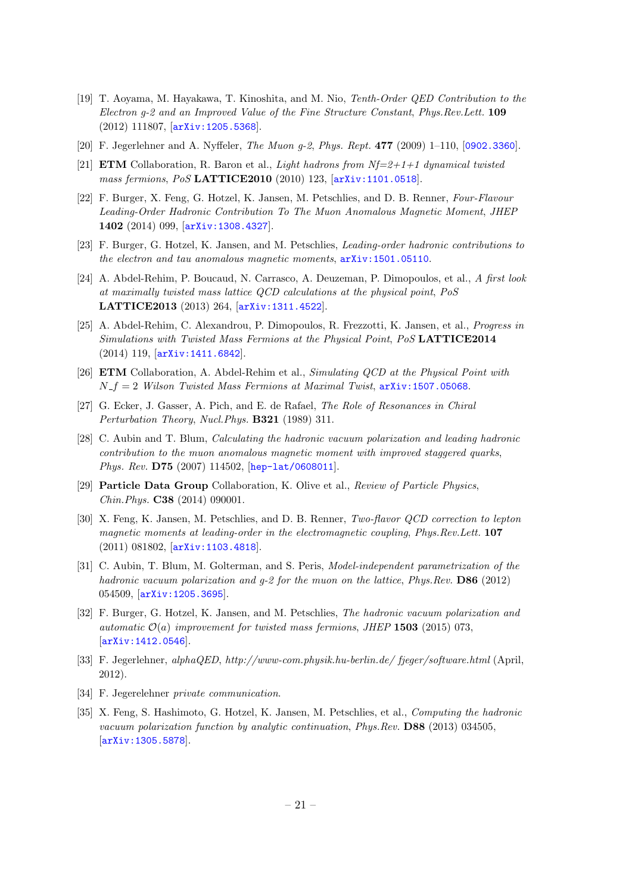- <span id="page-21-0"></span>[19] T. Aoyama, M. Hayakawa, T. Kinoshita, and M. Nio, Tenth-Order QED Contribution to the Electron g-2 and an Improved Value of the Fine Structure Constant, Phys.Rev.Lett. 109 (2012) 111807, [[arXiv:1205.5368](http://arxiv.org/abs/1205.5368)].
- <span id="page-21-1"></span>[20] F. Jegerlehner and A. Nyffeler, The Muon g-2, Phys. Rept. 477 (2009) 1–110, [[0902.3360](http://arxiv.org/abs/0902.3360)].
- <span id="page-21-6"></span>[21] **ETM** Collaboration, R. Baron et al., *Light hadrons from Nf=2+1+1 dynamical twisted* mass fermions, PoS LATTICE2010 (2010) 123, [[arXiv:1101.0518](http://arxiv.org/abs/1101.0518)].
- <span id="page-21-2"></span>[22] F. Burger, X. Feng, G. Hotzel, K. Jansen, M. Petschlies, and D. B. Renner, Four-Flavour Leading-Order Hadronic Contribution To The Muon Anomalous Magnetic Moment, JHEP 1402 (2014) 099, [[arXiv:1308.4327](http://arxiv.org/abs/1308.4327)].
- <span id="page-21-3"></span>[23] F. Burger, G. Hotzel, K. Jansen, and M. Petschlies, Leading-order hadronic contributions to the electron and tau anomalous magnetic moments,  $arXiv:1501.05110$ .
- <span id="page-21-4"></span>[24] A. Abdel-Rehim, P. Boucaud, N. Carrasco, A. Deuzeman, P. Dimopoulos, et al., A first look at maximally twisted mass lattice QCD calculations at the physical point, PoS LATTICE2013 (2013) 264, [[arXiv:1311.4522](http://arxiv.org/abs/1311.4522)].
- [25] A. Abdel-Rehim, C. Alexandrou, P. Dimopoulos, R. Frezzotti, K. Jansen, et al., Progress in Simulations with Twisted Mass Fermions at the Physical Point, PoS LATTICE2014 (2014) 119, [[arXiv:1411.6842](http://arxiv.org/abs/1411.6842)].
- <span id="page-21-5"></span>[26] ETM Collaboration, A. Abdel-Rehim et al., Simulating QCD at the Physical Point with  $N_f = 2$  Wilson Twisted Mass Fermions at Maximal Twist,  $arXiv:1507.05068$ .
- <span id="page-21-7"></span>[27] G. Ecker, J. Gasser, A. Pich, and E. de Rafael, The Role of Resonances in Chiral Perturbation Theory, Nucl.Phys. B321 (1989) 311.
- <span id="page-21-8"></span>[28] C. Aubin and T. Blum, Calculating the hadronic vacuum polarization and leading hadronic contribution to the muon anomalous magnetic moment with improved staggered quarks, Phys. Rev. **D75** (2007) 114502, [[hep-lat/0608011](http://arxiv.org/abs/hep-lat/0608011)].
- <span id="page-21-9"></span>[29] Particle Data Group Collaboration, K. Olive et al., Review of Particle Physics, Chin.Phys. C38 (2014) 090001.
- <span id="page-21-10"></span>[30] X. Feng, K. Jansen, M. Petschlies, and D. B. Renner, Two-flavor QCD correction to lepton magnetic moments at leading-order in the electromagnetic coupling, Phys.Rev.Lett. 107 (2011) 081802, [[arXiv:1103.4818](http://arxiv.org/abs/1103.4818)].
- <span id="page-21-11"></span>[31] C. Aubin, T. Blum, M. Golterman, and S. Peris, *Model-independent parametrization of the* hadronic vacuum polarization and  $q$ -2 for the muon on the lattice, Phys.Rev. **D86** (2012) 054509, [[arXiv:1205.3695](http://arxiv.org/abs/1205.3695)].
- <span id="page-21-12"></span>[32] F. Burger, G. Hotzel, K. Jansen, and M. Petschlies, The hadronic vacuum polarization and automatic  $\mathcal{O}(a)$  improvement for twisted mass fermions, JHEP 1503 (2015) 073, [[arXiv:1412.0546](http://arxiv.org/abs/1412.0546)].
- <span id="page-21-13"></span>[33] F. Jegerlehner, alphaQED, http://www-com.physik.hu-berlin.de/ fjeger/software.html (April, 2012).
- <span id="page-21-14"></span>[34] F. Jegerelehner private communication.
- <span id="page-21-15"></span>[35] X. Feng, S. Hashimoto, G. Hotzel, K. Jansen, M. Petschlies, et al., Computing the hadronic vacuum polarization function by analytic continuation, Phys.Rev. D88 (2013) 034505, [[arXiv:1305.5878](http://arxiv.org/abs/1305.5878)].